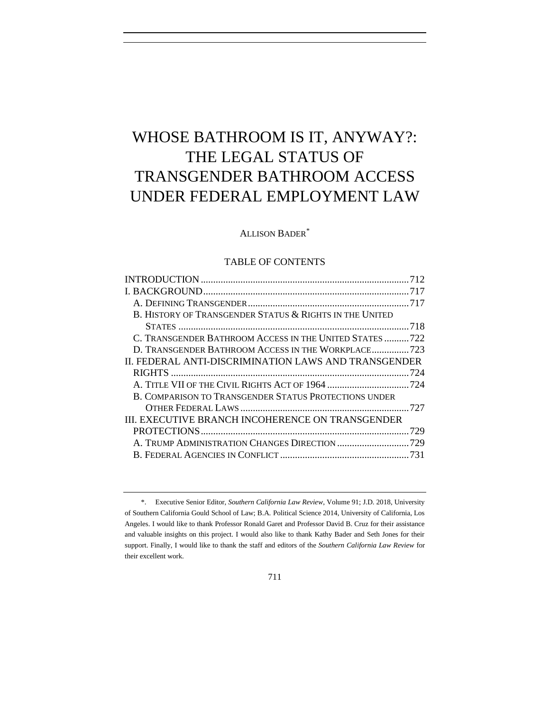# WHOSE BATHROOM IS IT, ANYWAY?: THE LEGAL STATUS OF TRANSGENDER BATHROOM ACCESS UNDER FEDERAL EMPLOYMENT LAW

# ALLISON BADER\*

## TABLE OF CONTENTS

| B. HISTORY OF TRANSGENDER STATUS & RIGHTS IN THE UNITED |     |
|---------------------------------------------------------|-----|
|                                                         |     |
| C. TRANSGENDER BATHROOM ACCESS IN THE UNITED STATES722  |     |
| D. TRANSGENDER BATHROOM ACCESS IN THE WORKPLACE 723     |     |
| II. FEDERAL ANTI-DISCRIMINATION LAWS AND TRANSGENDER    |     |
|                                                         |     |
|                                                         |     |
| B. COMPARISON TO TRANSGENDER STATUS PROTECTIONS UNDER   |     |
|                                                         |     |
| III. EXECUTIVE BRANCH INCOHERENCE ON TRANSGENDER        |     |
|                                                         | 729 |
| A. TRUMP ADMINISTRATION CHANGES DIRECTION 729           |     |
|                                                         |     |
|                                                         |     |

<sup>\*.</sup> Executive Senior Editor, *Southern California Law Review*, Volume 91; J.D. 2018, University of Southern California Gould School of Law; B.A. Political Science 2014, University of California, Los Angeles. I would like to thank Professor Ronald Garet and Professor David B. Cruz for their assistance and valuable insights on this project. I would also like to thank Kathy Bader and Seth Jones for their support. Finally, I would like to thank the staff and editors of the *Southern California Law Review* for their excellent work.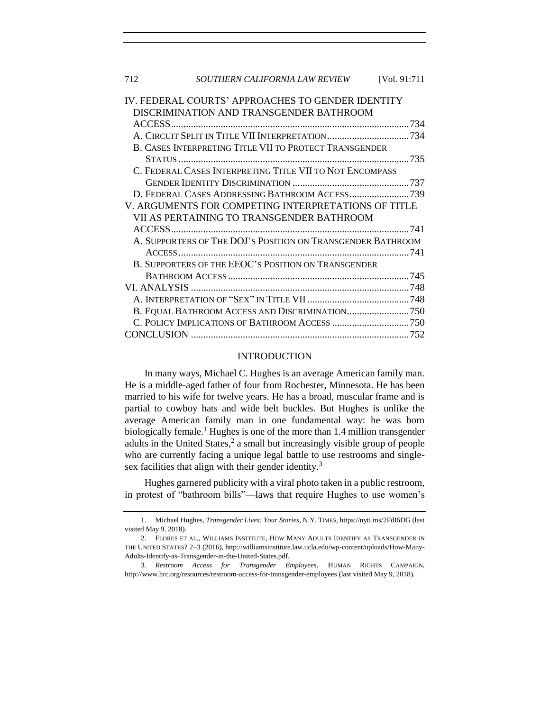| 712                                                         | SOUTHERN CALIFORNIA LAW REVIEW                           | [Vol. 91:711 |
|-------------------------------------------------------------|----------------------------------------------------------|--------------|
|                                                             | IV. FEDERAL COURTS' APPROACHES TO GENDER IDENTITY        |              |
|                                                             | DISCRIMINATION AND TRANSGENDER BATHROOM                  |              |
|                                                             |                                                          |              |
|                                                             |                                                          |              |
|                                                             | B. CASES INTERPRETING TITLE VII TO PROTECT TRANSGENDER   |              |
|                                                             |                                                          |              |
|                                                             | C. FEDERAL CASES INTERPRETING TITLE VII TO NOT ENCOMPASS |              |
|                                                             |                                                          |              |
|                                                             | D. FEDERAL CASES ADDRESSING BATHROOM ACCESS739           |              |
|                                                             | V. ARGUMENTS FOR COMPETING INTERPRETATIONS OF TITLE      |              |
|                                                             | VII AS PERTAINING TO TRANSGENDER BATHROOM                |              |
|                                                             |                                                          |              |
| A. SUPPORTERS OF THE DOJ'S POSITION ON TRANSGENDER BATHROOM |                                                          |              |
|                                                             |                                                          |              |
|                                                             | B. SUPPORTERS OF THE EEOC'S POSITION ON TRANSGENDER      |              |
|                                                             |                                                          |              |
|                                                             |                                                          |              |
|                                                             |                                                          |              |
|                                                             | B. EQUAL BATHROOM ACCESS AND DISCRIMINATION750           |              |
|                                                             |                                                          |              |
|                                                             |                                                          |              |

## <span id="page-1-1"></span>INTRODUCTION

<span id="page-1-0"></span>In many ways, Michael C. Hughes is an average American family man. He is a middle-aged father of four from Rochester, Minnesota. He has been married to his wife for twelve years. He has a broad, muscular frame and is partial to cowboy hats and wide belt buckles. But Hughes is unlike the average American family man in one fundamental way: he was born biologically female.<sup>1</sup> Hughes is one of the more than 1.4 million transgender adults in the United States, 2 a small but increasingly visible group of people who are currently facing a unique legal battle to use restrooms and singlesex facilities that align with their gender identity. $3$ 

Hughes garnered publicity with a viral photo taken in a public restroom, in protest of "bathroom bills"—laws that require Hughes to use women's

<sup>1.</sup> Michael Hughes, *Transgender Lives: Your Stories*, N.Y. TIMES, https://nyti.ms/2FdI6DG (last visited May 9, 2018).

<sup>2.</sup> FLORES ET AL., WILLIAMS INSTITUTE, HOW MANY ADULTS IDENTIFY AS TRANSGENDER IN THE UNITED STATES? 2–3 (2016), http://williamsinstitute.law.ucla.edu/wp-content/uploads/How-Many-Adults-Identify-as-Transgender-in-the-United-States.pdf.

<sup>3</sup>*. Restroom Access for Transgender Employees*, HUMAN RIGHTS CAMPAIGN, http://www.hrc.org/resources/restroom-access-for-transgender-employees (last visited May 9, 2018).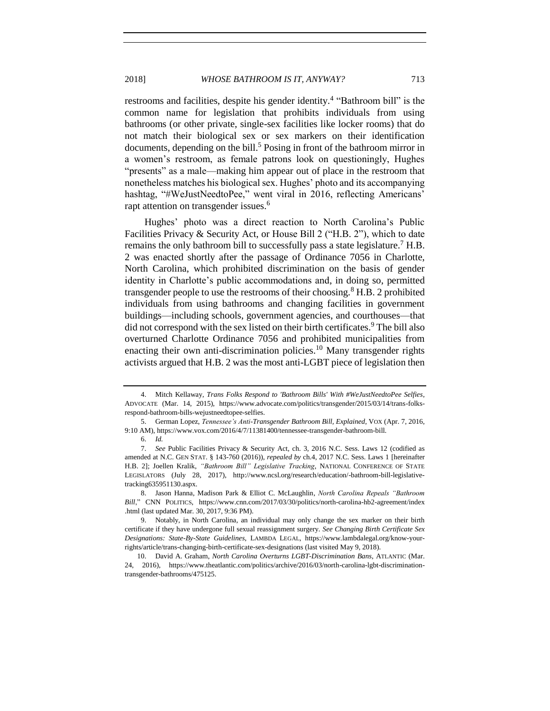restrooms and facilities, despite his gender identity.<sup>4</sup> "Bathroom bill" is the common name for legislation that prohibits individuals from using bathrooms (or other private, single-sex facilities like locker rooms) that do not match their biological sex or sex markers on their identification documents, depending on the bill.<sup>5</sup> Posing in front of the bathroom mirror in a women's restroom, as female patrons look on questioningly, Hughes "presents" as a male—making him appear out of place in the restroom that nonetheless matches his biological sex. Hughes' photo and its accompanying hashtag, "#WeJustNeedtoPee," went viral in 2016, reflecting Americans' rapt attention on transgender issues.<sup>6</sup>

Hughes' photo was a direct reaction to North Carolina's Public Facilities Privacy & Security Act, or House Bill 2 ("H.B. 2"), which to date remains the only bathroom bill to successfully pass a state legislature.<sup>7</sup> H.B. 2 was enacted shortly after the passage of Ordinance 7056 in Charlotte, North Carolina, which prohibited discrimination on the basis of gender identity in Charlotte's public accommodations and, in doing so, permitted transgender people to use the restrooms of their choosing.<sup>8</sup> H.B. 2 prohibited individuals from using bathrooms and changing facilities in government buildings—including schools, government agencies, and courthouses—that did not correspond with the sex listed on their birth certificates.<sup>9</sup> The bill also overturned Charlotte Ordinance 7056 and prohibited municipalities from enacting their own anti-discrimination policies.<sup>10</sup> Many transgender rights activists argued that H.B. 2 was the most anti-LGBT piece of legislation then

<span id="page-2-0"></span>

<sup>4.</sup> Mitch Kellaway, *Trans Folks Respond to 'Bathroom Bills' With #WeJustNeedtoPee Selfies*, ADVOCATE (Mar. 14, 2015), https://www.advocate.com/politics/transgender/2015/03/14/trans-folksrespond-bathroom-bills-wejustneedtopee-selfies.

<sup>5.</sup> German Lopez, *Tennessee's Anti-Transgender Bathroom Bill, Explained*, VOX (Apr. 7, 2016, 9:10 AM), https://www.vox.com/2016/4/7/11381400/tennessee-transgender-bathroom-bill.

<sup>6.</sup> *Id.*

<sup>7.</sup> *See* Public Facilities Privacy & Security Act, ch. 3, 2016 N.C. Sess. Laws 12 (codified as amended at N.C. GEN STAT. § 143-760 (2016)), *repealed by* ch.4, 2017 N.C. Sess. Laws 1 [hereinafter H.B. 2]; Joellen Kralik, *"Bathroom Bill" Legislative Tracking*, NATIONAL CONFERENCE OF STATE LEGISLATORS (July 28, 2017), http://www.ncsl.org/research/education/-bathroom-bill-legislativetracking635951130.aspx.

<sup>8.</sup> Jason Hanna, Madison Park & Elliot C. McLaughlin, *North Carolina Repeals "Bathroom Bill*," CNN POLITICS, https://www.cnn.com/2017/03/30/politics/north-carolina-hb2-agreement/index .html (last updated Mar. 30, 2017, 9:36 PM).

<sup>9.</sup> Notably, in North Carolina, an individual may only change the sex marker on their birth certificate if they have undergone full sexual reassignment surgery. *See Changing Birth Certificate Sex Designations: State-By-State Guidelines*, LAMBDA LEGAL, https://www.lambdalegal.org/know-yourrights/article/trans-changing-birth-certificate-sex-designations (last visited May 9, 2018).

<sup>10.</sup> David A. Graham, *North Carolina Overturns LGBT-Discrimination Bans*, ATLANTIC (Mar. 24, 2016), https://www.theatlantic.com/politics/archive/2016/03/north-carolina-lgbt-discriminationtransgender-bathrooms/475125.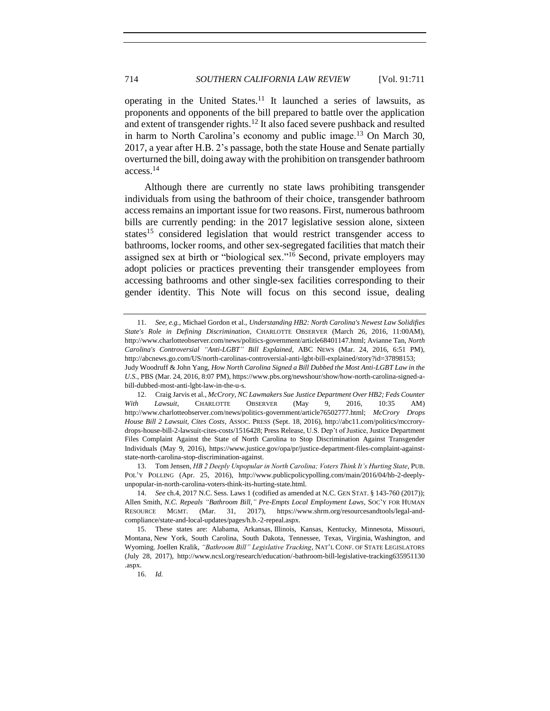operating in the United States.<sup>11</sup> It launched a series of lawsuits, as proponents and opponents of the bill prepared to battle over the application and extent of transgender rights.<sup>12</sup> It also faced severe pushback and resulted in harm to North Carolina's economy and public image.<sup>13</sup> On March 30, 2017, a year after H.B. 2's passage, both the state House and Senate partially overturned the bill, doing away with the prohibition on transgender bathroom access.<sup>14</sup>

Although there are currently no state laws prohibiting transgender individuals from using the bathroom of their choice, transgender bathroom access remains an important issue for two reasons. First, numerous bathroom bills are currently pending: in the 2017 legislative session alone, sixteen states<sup>15</sup> considered legislation that would restrict transgender access to bathrooms, locker rooms, and other sex-segregated facilities that match their assigned sex at birth or "biological sex."<sup>16</sup> Second, private employers may adopt policies or practices preventing their transgender employees from accessing bathrooms and other single-sex facilities corresponding to their gender identity. This Note will focus on this second issue, dealing

<sup>11.</sup> *See, e.g.*, Michael Gordon et al., *Understanding HB2: North Carolina's Newest Law Solidifies State's Role in Defining Discrimination*, CHARLOTTE OBSERVER (March 26, 2016, 11:00AM), http://www.charlotteobserver.com/news/politics-government/article68401147.html; Avianne Tan, *North Carolina's Controversial "Anti-LGBT" Bill Explained,* ABC NEWS (Mar. 24, 2016, 6:51 PM), http://abcnews.go.com/US/north-carolinas-controversial-anti-lgbt-bill-explained/story?id=37898153; Judy Woodruff & John Yang, *How North Carolina Signed a Bill Dubbed the Most Anti-LGBT Law in the U.S.*, PBS (Mar. 24, 2016, 8:07 PM), https://www.pbs.org/newshour/show/how-north-carolina-signed-abill-dubbed-most-anti-lgbt-law-in-the-u-s.

<sup>12.</sup> Craig Jarvis et al., *McCrory, NC Lawmakers Sue Justice Department Over HB2; Feds Counter With Lawsuit*, CHARLOTTE OBSERVER (May 9, 2016, 10:35 AM) http://www.charlotteobserver.com/news/politics-government/article76502777.html; *McCrory Drops House Bill 2 Lawsuit, Cites Costs*, ASSOC. PRESS (Sept. 18, 2016), http://abc11.com/politics/mccrorydrops-house-bill-2-lawsuit-cites-costs/1516428; Press Release, U.S. Dep't of Justice, Justice Department Files Complaint Against the State of North Carolina to Stop Discrimination Against Transgender Individuals (May 9, 2016), https://www.justice.gov/opa/pr/justice-department-files-complaint-againststate-north-carolina-stop-discrimination-against.

<sup>13.</sup> Tom Jensen, *HB 2 Deeply Unpopular in North Carolina; Voters Think It's Hurting State*, PUB. POL'Y POLLING (Apr. 25, 2016), http://www.publicpolicypolling.com/main/2016/04/hb-2-deeplyunpopular-in-north-carolina-voters-think-its-hurting-state.html.

<sup>14.</sup> *See* ch.4, 2017 N.C. Sess. Laws 1 (codified as amended at N.C. GEN STAT. § 143-760 (2017)); Allen Smith, *N.C. Repeals "Bathroom Bill," Pre-Empts Local Employment Laws*, SOC'Y FOR HUMAN RESOURCE MGMT. (Mar. 31, 2017), https://www.shrm.org/resourcesandtools/legal-andcompliance/state-and-local-updates/pages/h.b.-2-repeal.aspx.

<sup>15.</sup> These states are: Alabama, Arkansas, Illinois, Kansas, Kentucky, Minnesota, Missouri, Montana, New York, South Carolina, South Dakota, Tennessee, Texas, Virginia, Washington, and Wyoming. Joellen Kralik, *"Bathroom Bill" Legislative Tracking*, NAT'L CONF. OF STATE LEGISLATORS (July 28, 2017), http://www.ncsl.org/research/education/-bathroom-bill-legislative-tracking635951130 .aspx.

<sup>16.</sup> *Id.*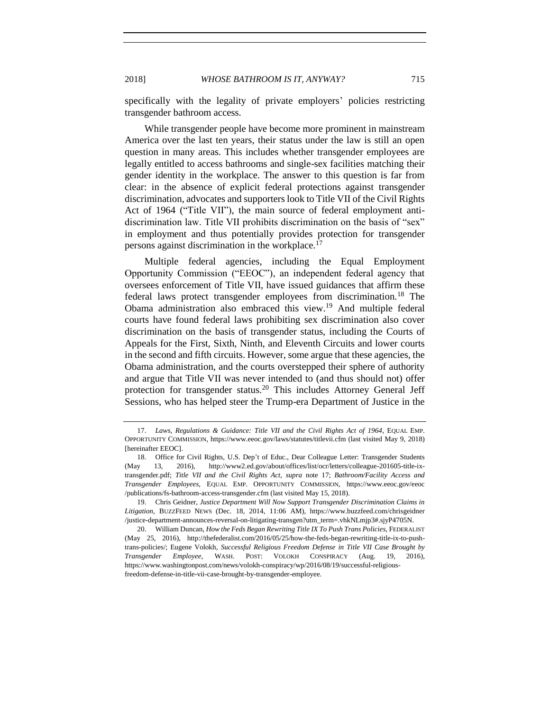specifically with the legality of private employers' policies restricting transgender bathroom access.

While transgender people have become more prominent in mainstream America over the last ten years, their status under the law is still an open question in many areas. This includes whether transgender employees are legally entitled to access bathrooms and single-sex facilities matching their gender identity in the workplace. The answer to this question is far from clear: in the absence of explicit federal protections against transgender discrimination, advocates and supporters look to Title VII of the Civil Rights Act of 1964 ("Title VII"), the main source of federal employment antidiscrimination law. Title VII prohibits discrimination on the basis of "sex" in employment and thus potentially provides protection for transgender persons against discrimination in the workplace.<sup>17</sup>

<span id="page-4-0"></span>Multiple federal agencies, including the Equal Employment Opportunity Commission ("EEOC"), an independent federal agency that oversees enforcement of Title VII, have issued guidances that affirm these federal laws protect transgender employees from discrimination.<sup>18</sup> The Obama administration also embraced this view.<sup>19</sup> And multiple federal courts have found federal laws prohibiting sex discrimination also cover discrimination on the basis of transgender status, including the Courts of Appeals for the First, Sixth, Ninth, and Eleventh Circuits and lower courts in the second and fifth circuits. However, some argue that these agencies, the Obama administration, and the courts overstepped their sphere of authority and argue that Title VII was never intended to (and thus should not) offer protection for transgender status.<sup>20</sup> This includes Attorney General Jeff Sessions, who has helped steer the Trump-era Department of Justice in the

<sup>17.</sup> *Laws, Regulations & Guidance: Title VII and the Civil Rights Act of 1964*, EQUAL EMP. OPPORTUNITY COMMISSION, https://www.eeoc.gov/laws/statutes/titlevii.cfm (last visited May 9, 2018) [hereinafter EEOC].

<sup>18.</sup> Office for Civil Rights, U.S. Dep't of Educ., Dear Colleague Letter: Transgender Students (May 13, 2016), http://www2.ed.gov/about/offices/list/ocr/letters/colleague-201605-title-ixtransgender.pdf; *Title VII and the Civil Rights Act*, *supra* note [17;](#page-4-0) *Bathroom/Facility Access and Transgender Employees*, EQUAL EMP. OPPORTUNITY COMMISSION, https://www.eeoc.gov/eeoc /publications/fs-bathroom-access-transgender.cfm (last visited May 15, 2018).

<sup>19.</sup> Chris Geidner, *Justice Department Will Now Support Transgender Discrimination Claims in Litigation*, BUZZFEED NEWS (Dec. 18, 2014, 11:06 AM), https://www.buzzfeed.com/chrisgeidner /justice-department-announces-reversal-on-litigating-transgen?utm\_term=.vhkNLmjp3#.sjyP4705N.

<sup>20.</sup> William Duncan, *How the Feds Began Rewriting Title IX To Push Trans Policies*, FEDERALIST (May 25, 2016), http://thefederalist.com/2016/05/25/how-the-feds-began-rewriting-title-ix-to-pushtrans-policies/; Eugene Volokh, *Successful Religious Freedom Defense in Title VII Case Brought by Transgender Employee*, WASH. POST: VOLOKH CONSPIRACY (Aug. 19, 2016), https://www.washingtonpost.com/news/volokh-conspiracy/wp/2016/08/19/successful-religiousfreedom-defense-in-title-vii-case-brought-by-transgender-employee.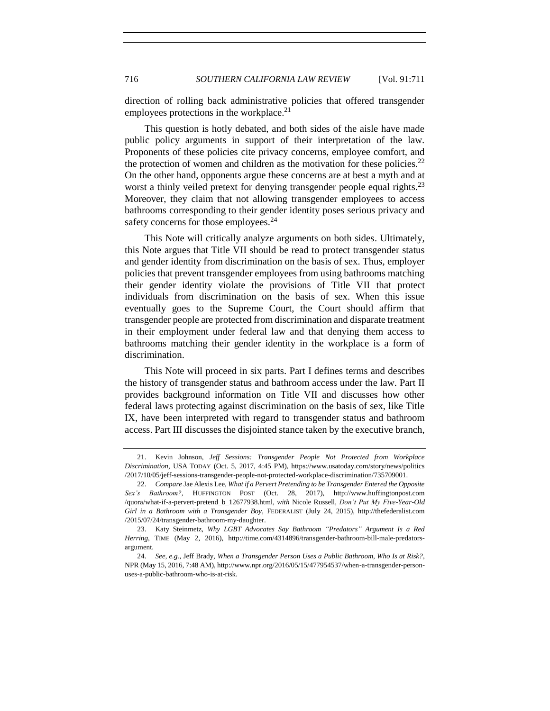direction of rolling back administrative policies that offered transgender employees protections in the workplace.<sup>21</sup>

This question is hotly debated, and both sides of the aisle have made public policy arguments in support of their interpretation of the law. Proponents of these policies cite privacy concerns, employee comfort, and the protection of women and children as the motivation for these policies.<sup>22</sup> On the other hand, opponents argue these concerns are at best a myth and at worst a thinly veiled pretext for denying transgender people equal rights.<sup>23</sup> Moreover, they claim that not allowing transgender employees to access bathrooms corresponding to their gender identity poses serious privacy and safety concerns for those employees.<sup>24</sup>

<span id="page-5-0"></span>This Note will critically analyze arguments on both sides. Ultimately, this Note argues that Title VII should be read to protect transgender status and gender identity from discrimination on the basis of sex. Thus, employer policies that prevent transgender employees from using bathrooms matching their gender identity violate the provisions of Title VII that protect individuals from discrimination on the basis of sex. When this issue eventually goes to the Supreme Court, the Court should affirm that transgender people are protected from discrimination and disparate treatment in their employment under federal law and that denying them access to bathrooms matching their gender identity in the workplace is a form of discrimination.

This Note will proceed in six parts. Part I defines terms and describes the history of transgender status and bathroom access under the law. Part II provides background information on Title VII and discusses how other federal laws protecting against discrimination on the basis of sex, like Title IX, have been interpreted with regard to transgender status and bathroom access. Part III discusses the disjointed stance taken by the executive branch,

<sup>21.</sup> Kevin Johnson, *Jeff Sessions: Transgender People Not Protected from Workplace Discrimination*, USA TODAY (Oct. 5, 2017, 4:45 PM), https://www.usatoday.com/story/news/politics /2017/10/05/jeff-sessions-transgender-people-not-protected-workplace-discrimination/735709001.

<sup>22.</sup> *Compare* Jae Alexis Lee, *What if a Pervert Pretending to be Transgender Entered the Opposite Sex's Bathroom?*, HUFFINGTON POST (Oct. 28, 2017), http://www.huffingtonpost.com /quora/what-if-a-pervert-pretend\_b\_12677938.html, *with* Nicole Russell, *Don't Put My Five-Year-Old Girl in a Bathroom with a Transgender Boy*, FEDERALIST (July 24, 2015), http://thefederalist.com /2015/07/24/transgender-bathroom-my-daughter.

<sup>23.</sup> Katy Steinmetz, *Why LGBT Advocates Say Bathroom "Predators" Argument Is a Red Herring*, TIME (May 2, 2016), http://time.com/4314896/transgender-bathroom-bill-male-predatorsargument.

<sup>24.</sup> *See, e.g.*, Jeff Brady, *When a Transgender Person Uses a Public Bathroom, Who Is at Risk?*, NPR (May 15, 2016, 7:48 AM), http://www.npr.org/2016/05/15/477954537/when-a-transgender-personuses-a-public-bathroom-who-is-at-risk.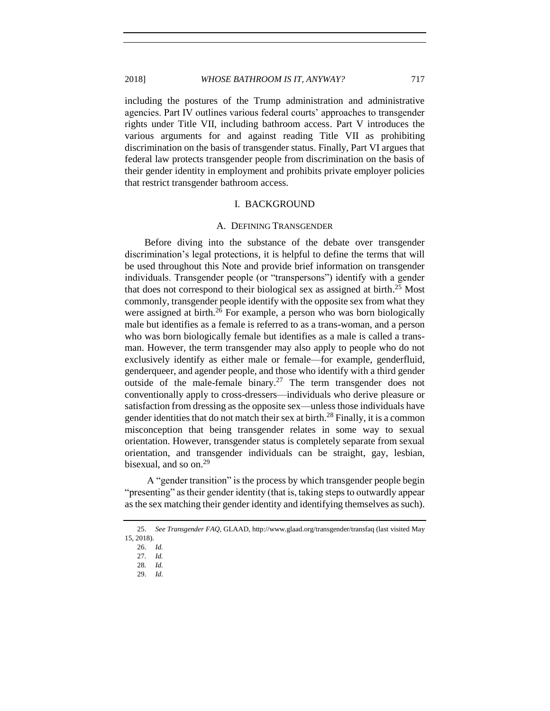#### 2018] *WHOSE BATHROOM IS IT, ANYWAY?* 717

including the postures of the Trump administration and administrative agencies. Part IV outlines various federal courts' approaches to transgender rights under Title VII, including bathroom access. Part V introduces the various arguments for and against reading Title VII as prohibiting discrimination on the basis of transgender status. Finally, Part VI argues that federal law protects transgender people from discrimination on the basis of their gender identity in employment and prohibits private employer policies that restrict transgender bathroom access.

#### I. BACKGROUND

#### A. DEFINING TRANSGENDER

<span id="page-6-1"></span><span id="page-6-0"></span>Before diving into the substance of the debate over transgender discrimination's legal protections, it is helpful to define the terms that will be used throughout this Note and provide brief information on transgender individuals. Transgender people (or "transpersons") identify with a gender that does not correspond to their biological sex as assigned at birth. <sup>25</sup> Most commonly, transgender people identify with the opposite sex from what they were assigned at birth.<sup>26</sup> For example, a person who was born biologically male but identifies as a female is referred to as a trans-woman, and a person who was born biologically female but identifies as a male is called a transman. However, the term transgender may also apply to people who do not exclusively identify as either male or female—for example, genderfluid, genderqueer, and agender people, and those who identify with a third gender outside of the male-female binary.<sup>27</sup> The term transgender does not conventionally apply to cross-dressers—individuals who derive pleasure or satisfaction from dressing as the opposite sex—unless those individuals have gender identities that do not match their sex at birth.<sup>28</sup> Finally, it is a common misconception that being transgender relates in some way to sexual orientation. However, transgender status is completely separate from sexual orientation, and transgender individuals can be straight, gay, lesbian, bisexual, and so on. 29

A "gender transition" is the process by which transgender people begin "presenting" as their gender identity (that is, taking steps to outwardly appear as the sex matching their gender identity and identifying themselves as such).

<sup>25.</sup> *See Transgender FAQ*, GLAAD, http://www.glaad.org/transgender/transfaq (last visited May 15, 2018).

<sup>26.</sup> *Id.*

<sup>27</sup>*. Id.* 

<sup>28</sup>*. Id.*

<sup>29.</sup> *Id*.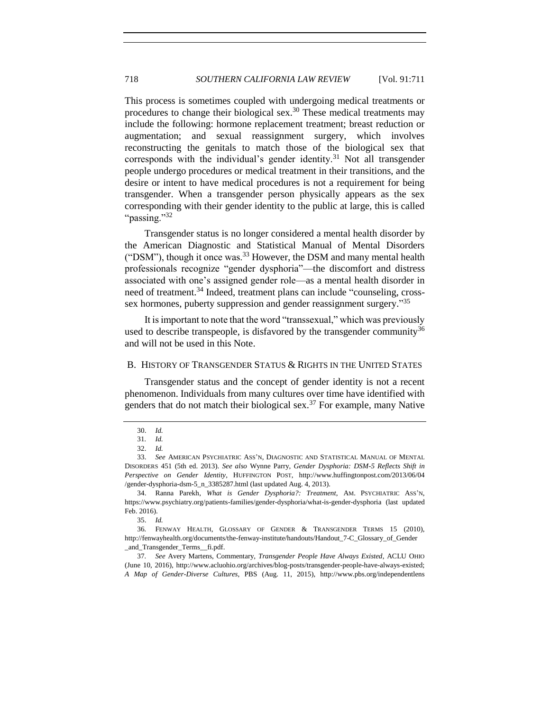This process is sometimes coupled with undergoing medical treatments or procedures to change their biological sex.<sup>30</sup> These medical treatments may include the following: hormone replacement treatment; breast reduction or augmentation; and sexual reassignment surgery, which involves reconstructing the genitals to match those of the biological sex that corresponds with the individual's gender identity.<sup>31</sup> Not all transgender people undergo procedures or medical treatment in their transitions, and the desire or intent to have medical procedures is not a requirement for being transgender. When a transgender person physically appears as the sex corresponding with their gender identity to the public at large, this is called "passing."32"

Transgender status is no longer considered a mental health disorder by the American Diagnostic and Statistical Manual of Mental Disorders ("DSM"), though it once was.<sup>33</sup> However, the DSM and many mental health professionals recognize "gender dysphoria"—the discomfort and distress associated with one's assigned gender role—as a mental health disorder in need of treatment.<sup>34</sup> Indeed, treatment plans can include "counseling, crosssex hormones, puberty suppression and gender reassignment surgery."<sup>35</sup>

It is important to note that the word "transsexual," which was previously used to describe transpeople, is disfavored by the transgender community<sup>36</sup> and will not be used in this Note.

## <span id="page-7-0"></span>B. HISTORY OF TRANSGENDER STATUS & RIGHTS IN THE UNITED STATES

Transgender status and the concept of gender identity is not a recent phenomenon. Individuals from many cultures over time have identified with genders that do not match their biological sex.<sup>37</sup> For example, many Native

35. *Id.*

36*.* FENWAY HEALTH, GLOSSARY OF GENDER & TRANSGENDER TERMS 15 (2010), http://fenwayhealth.org/documents/the-fenway-institute/handouts/Handout\_7-C\_Glossary\_of\_Gender \_and\_Transgender\_Terms\_\_fi.pdf.

37*. See* Avery Martens, Commentary, *Transgender People Have Always Existed*, ACLU OHIO (June 10, 2016), http://www.acluohio.org/archives/blog-posts/transgender-people-have-always-existed; *A Map of Gender-Diverse Cultures*, PBS (Aug. 11, 2015), http://www.pbs.org/independentlens

<sup>30.</sup> *Id.*

<sup>31</sup>*. Id.*  32. *Id.*

<sup>33.</sup> *See* AMERICAN PSYCHIATRIC ASS'N, DIAGNOSTIC AND STATISTICAL MANUAL OF MENTAL DISORDERS 451 (5th ed. 2013). *See also* Wynne Parry, *Gender Dysphoria: DSM-5 Reflects Shift in Perspective on Gender Identity*, HUFFINGTON POST, http://www.huffingtonpost.com/2013/06/04 /gender-dysphoria-dsm-5\_n\_3385287.html (last updated Aug. 4, 2013).

<sup>34.</sup> Ranna Parekh, *What is Gender Dysphoria?: Treatment*, AM. PSYCHIATRIC ASS'N, https://www.psychiatry.org/patients-families/gender-dysphoria/what-is-gender-dysphoria (last updated Feb. 2016).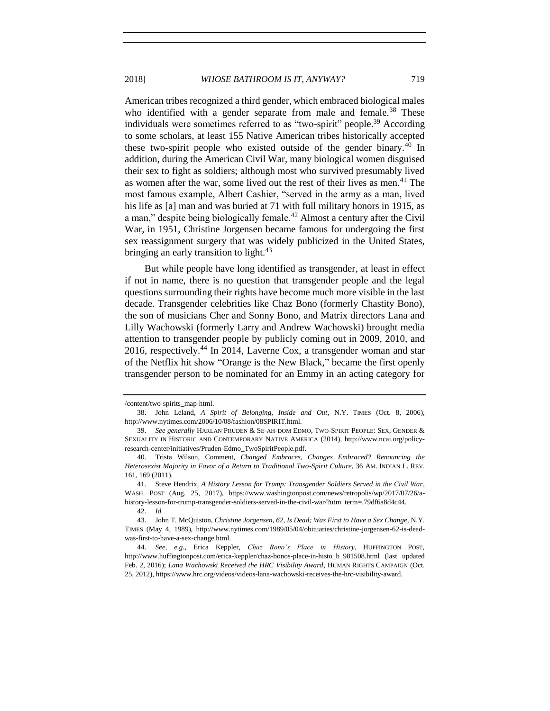2018] *WHOSE BATHROOM IS IT, ANYWAY?* 719

American tribes recognized a third gender, which embraced biological males who identified with a gender separate from male and female.<sup>38</sup> These individuals were sometimes referred to as "two-spirit" people.<sup>39</sup> According to some scholars, at least 155 Native American tribes historically accepted these two-spirit people who existed outside of the gender binary.<sup>40</sup> In addition, during the American Civil War, many biological women disguised their sex to fight as soldiers; although most who survived presumably lived as women after the war, some lived out the rest of their lives as men.<sup>41</sup> The most famous example, Albert Cashier, "served in the army as a man, lived his life as [a] man and was buried at 71 with full military honors in 1915, as a man," despite being biologically female.<sup>42</sup> Almost a century after the Civil War, in 1951, Christine Jorgensen became famous for undergoing the first sex reassignment surgery that was widely publicized in the United States, bringing an early transition to light.<sup>43</sup>

But while people have long identified as transgender, at least in effect if not in name, there is no question that transgender people and the legal questions surrounding their rights have become much more visible in the last decade. Transgender celebrities like Chaz Bono (formerly Chastity Bono), the son of musicians Cher and Sonny Bono, and Matrix directors Lana and Lilly Wachowski (formerly Larry and Andrew Wachowski) brought media attention to transgender people by publicly coming out in 2009, 2010, and 2016, respectively.<sup>44</sup> In 2014, Laverne Cox, a transgender woman and star of the Netflix hit show "Orange is the New Black," became the first openly transgender person to be nominated for an Emmy in an acting category for

<sup>/</sup>content/two-spirits\_map-html.

<sup>38.</sup> John Leland, *A Spirit of Belonging, Inside and Out*, N.Y. TIMES (Oct. 8, 2006), http://www.nytimes.com/2006/10/08/fashion/08SPIRIT.html.

<sup>39.</sup> *See generally* HARLAN PRUDEN & SE-AH-DOM EDMO, TWO-SPIRIT PEOPLE: SEX, GENDER & SEXUALITY IN HISTORIC AND CONTEMPORARY NATIVE AMERICA (2014), http://www.ncai.org/policyresearch-center/initiatives/Pruden-Edmo\_TwoSpiritPeople.pdf.

<sup>40.</sup> Trista Wilson, Comment, *Changed Embraces, Changes Embraced? Renouncing the Heterosexist Majority in Favor of a Return to Traditional Two-Spirit Culture*, 36 AM. INDIAN L. REV. 161, 169 (2011).

<sup>41.</sup> Steve Hendrix, *A History Lesson for Trump: Transgender Soldiers Served in the Civil War*, WASH. POST (Aug. 25, 2017), https://www.washingtonpost.com/news/retropolis/wp/2017/07/26/ahistory-lesson-for-trump-transgender-soldiers-served-in-the-civil-war/?utm\_term=.79df6a8d4c44.

<sup>42.</sup> *Id.*

<sup>43.</sup> John T. McQuiston, *Christine Jorgensen, 62, Is Dead; Was First to Have a Sex Change*, N.Y. TIMES (May 4, 1989), http://www.nytimes.com/1989/05/04/obituaries/christine-jorgensen-62-is-deadwas-first-to-have-a-sex-change.html.

<sup>44.</sup> *See, e.g.*, Erica Keppler, *Chaz Bono's Place in History*, HUFFINGTON POST, http://www.huffingtonpost.com/erica-keppler/chaz-bonos-place-in-histo\_b\_981508.html (last updated Feb. 2, 2016); *Lana Wachowski Received the HRC Visibility Award*, HUMAN RIGHTS CAMPAIGN (Oct. 25, 2012), https://www.hrc.org/videos/videos-lana-wachowski-receives-the-hrc-visibility-award.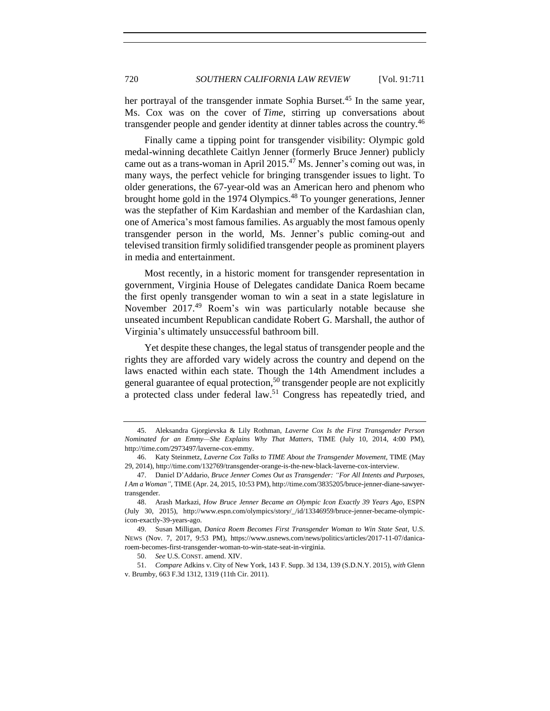her portrayal of the transgender inmate Sophia Burset.<sup>45</sup> In the same year, Ms. Cox was on the cover of *Time*, stirring up conversations about transgender people and gender identity at dinner tables across the country.<sup>46</sup>

Finally came a tipping point for transgender visibility: Olympic gold medal-winning decathlete Caitlyn Jenner (formerly Bruce Jenner) publicly came out as a trans-woman in April  $2015<sup>47</sup>$  Ms. Jenner's coming out was, in many ways, the perfect vehicle for bringing transgender issues to light. To older generations, the 67-year-old was an American hero and phenom who brought home gold in the 1974 Olympics.<sup>48</sup> To younger generations, Jenner was the stepfather of Kim Kardashian and member of the Kardashian clan, one of America's most famous families. As arguably the most famous openly transgender person in the world, Ms. Jenner's public coming-out and televised transition firmly solidified transgender people as prominent players in media and entertainment.

Most recently, in a historic moment for transgender representation in government, Virginia House of Delegates candidate Danica Roem became the first openly transgender woman to win a seat in a state legislature in November 2017.<sup>49</sup> Roem's win was particularly notable because she unseated incumbent Republican candidate Robert G. Marshall, the author of Virginia's ultimately unsuccessful bathroom bill.

Yet despite these changes, the legal status of transgender people and the rights they are afforded vary widely across the country and depend on the laws enacted within each state. Though the 14th Amendment includes a general guarantee of equal protection,<sup>50</sup> transgender people are not explicitly a protected class under federal law.<sup>51</sup> Congress has repeatedly tried, and

<sup>45.</sup> Aleksandra Gjorgievska & Lily Rothman, *Laverne Cox Is the First Transgender Person Nominated for an Emmy—She Explains Why That Matters*, TIME (July 10, 2014, 4:00 PM), http://time.com/2973497/laverne-cox-emmy.

<sup>46.</sup> Katy Steinmetz, *Laverne Cox Talks to TIME About the Transgender Movement*, TIME (May 29, 2014), http://time.com/132769/transgender-orange-is-the-new-black-laverne-cox-interview.

<sup>47.</sup> Daniel D'Addario, *Bruce Jenner Comes Out as Transgender: "For All Intents and Purposes, I Am a Woman"*, TIME (Apr. 24, 2015, 10:53 PM), http://time.com/3835205/bruce-jenner-diane-sawyertransgender.

<sup>48.</sup> Arash Markazi, *How Bruce Jenner Became an Olympic Icon Exactly 39 Years Ago*, ESPN (July 30, 2015), http://www.espn.com/olympics/story/\_/id/13346959/bruce-jenner-became-olympicicon-exactly-39-years-ago.

<sup>49.</sup> Susan Milligan, *Danica Roem Becomes First Transgender Woman to Win State Seat*, U.S. NEWS (Nov. 7, 2017, 9:53 PM), https://www.usnews.com/news/politics/articles/2017-11-07/danicaroem-becomes-first-transgender-woman-to-win-state-seat-in-virginia.

<sup>50.</sup> *See* U.S. CONST. amend. XIV.

<sup>51.</sup> *Compare* Adkins v. City of New York, 143 F. Supp. 3d 134, 139 (S.D.N.Y. 2015), *with* Glenn v. Brumby, 663 F.3d 1312, 1319 (11th Cir. 2011).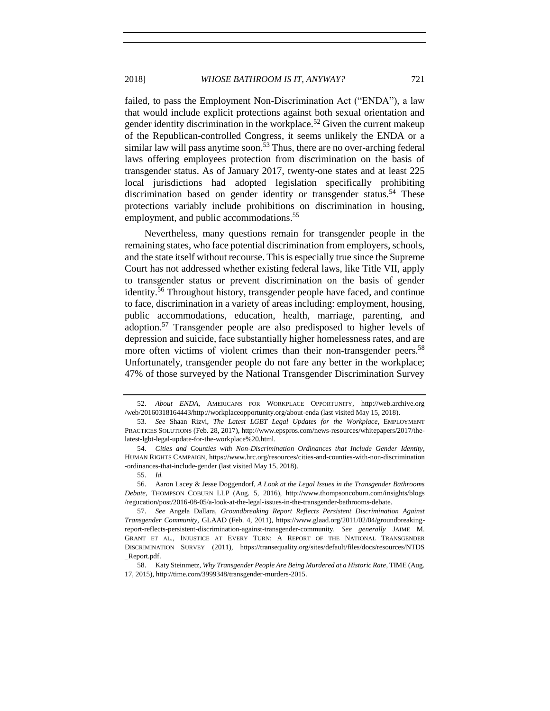<span id="page-10-0"></span>failed, to pass the Employment Non-Discrimination Act ("ENDA"), a law that would include explicit protections against both sexual orientation and gender identity discrimination in the workplace.<sup>52</sup> Given the current makeup of the Republican-controlled Congress, it seems unlikely the ENDA or a similar law will pass anytime soon.<sup>53</sup> Thus, there are no over-arching federal laws offering employees protection from discrimination on the basis of transgender status. As of January 2017, twenty-one states and at least 225 local jurisdictions had adopted legislation specifically prohibiting discrimination based on gender identity or transgender status.<sup>54</sup> These protections variably include prohibitions on discrimination in housing, employment, and public accommodations.<sup>55</sup>

Nevertheless, many questions remain for transgender people in the remaining states, who face potential discrimination from employers, schools, and the state itself without recourse. This is especially true since the Supreme Court has not addressed whether existing federal laws, like Title VII, apply to transgender status or prevent discrimination on the basis of gender identity.<sup>56</sup> Throughout history, transgender people have faced, and continue to face, discrimination in a variety of areas including: employment, housing, public accommodations, education, health, marriage, parenting, and adoption.<sup>57</sup> Transgender people are also predisposed to higher levels of depression and suicide, face substantially higher homelessness rates, and are more often victims of violent crimes than their non-transgender peers.<sup>58</sup> Unfortunately, transgender people do not fare any better in the workplace; 47% of those surveyed by the National Transgender Discrimination Survey

<sup>52.</sup> *About ENDA*, AMERICANS FOR WORKPLACE OPPORTUNITY, http://web.archive.org /web/20160318164443/http://workplaceopportunity.org/about-enda (last visited May 15, 2018).

<sup>53</sup>*. See* Shaan Rizvi, *The Latest LGBT Legal Updates for the Workplace*, EMPLOYMENT PRACTICES SOLUTIONS (Feb. 28, 2017), http://www.epspros.com/news-resources/whitepapers/2017/thelatest-lgbt-legal-update-for-the-workplace%20.html.

<sup>54.</sup> *Cities and Counties with Non-Discrimination Ordinances that Include Gender Identity*, HUMAN RIGHTS CAMPAIGN, https://www.hrc.org/resources/cities-and-counties-with-non-discrimination -ordinances-that-include-gender (last visited May 15, 2018).

<sup>55.</sup> *Id.*

<sup>56.</sup> Aaron Lacey & Jesse Doggendorf, *A Look at the Legal Issues in the Transgender Bathrooms Debate*, THOMPSON COBURN LLP (Aug. 5, 2016), http://www.thompsoncoburn.com/insights/blogs /regucation/post/2016-08-05/a-look-at-the-legal-issues-in-the-transgender-bathrooms-debate.

<sup>57.</sup> *See* Angela Dallara, *Groundbreaking Report Reflects Persistent Discrimination Against Transgender Community*, GLAAD (Feb. 4, 2011), https://www.glaad.org/2011/02/04/groundbreakingreport-reflects-persistent-discrimination-against-transgender-community. *See generally* JAIME M. GRANT ET AL., INJUSTICE AT EVERY TURN: A REPORT OF THE NATIONAL TRANSGENDER DISCRIMINATION SURVEY (2011), https://transequality.org/sites/default/files/docs/resources/NTDS \_Report.pdf.

<sup>58.</sup> Katy Steinmetz, *Why Transgender People Are Being Murdered at a Historic Rate*, TIME (Aug. 17, 2015), http://time.com/3999348/transgender-murders-2015.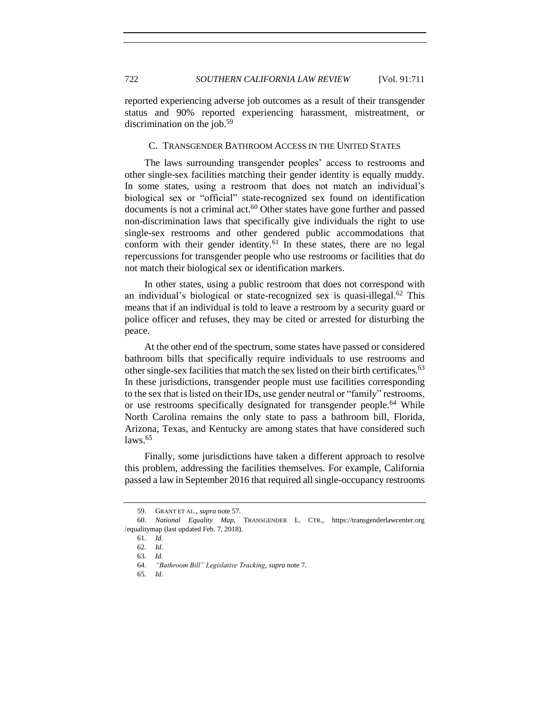reported experiencing adverse job outcomes as a result of their transgender status and 90% reported experiencing harassment, mistreatment, or discrimination on the job.<sup>59</sup>

## <span id="page-11-0"></span>C. TRANSGENDER BATHROOM ACCESS IN THE UNITED STATES

The laws surrounding transgender peoples' access to restrooms and other single-sex facilities matching their gender identity is equally muddy. In some states, using a restroom that does not match an individual's biological sex or "official" state-recognized sex found on identification documents is not a criminal act. <sup>60</sup> Other states have gone further and passed non-discrimination laws that specifically give individuals the right to use single-sex restrooms and other gendered public accommodations that conform with their gender identity.<sup>61</sup> In these states, there are no legal repercussions for transgender people who use restrooms or facilities that do not match their biological sex or identification markers.

In other states, using a public restroom that does not correspond with an individual's biological or state-recognized sex is quasi-illegal. $62$  This means that if an individual is told to leave a restroom by a security guard or police officer and refuses, they may be cited or arrested for disturbing the peace.

At the other end of the spectrum, some states have passed or considered bathroom bills that specifically require individuals to use restrooms and other single-sex facilities that match the sex listed on their birth certificates. 63 In these jurisdictions, transgender people must use facilities corresponding to the sex that is listed on their IDs, use gender neutral or "family" restrooms, or use restrooms specifically designated for transgender people.<sup>64</sup> While North Carolina remains the only state to pass a bathroom bill, Florida, Arizona, Texas, and Kentucky are among states that have considered such laws. 65

Finally, some jurisdictions have taken a different approach to resolve this problem, addressing the facilities themselves. For example, California passed a law in September 2016 that required all single-occupancy restrooms

<sup>59.</sup> GRANT ET AL., *supra* note 57.

<sup>60.</sup> *National Equality Map*, TRANSGENDER L. CTR., https://transgenderlawcenter.org /equalitymap (last updated Feb. 7, 2018).

<sup>61</sup>*. Id.*

<sup>62</sup>*. Id.*

<sup>63</sup>*. Id.*

<sup>64.</sup> *"Bathroom Bill" Legislative Tracking*, *supra* not[e 7.](#page-2-0) 

<sup>65.</sup> *Id.*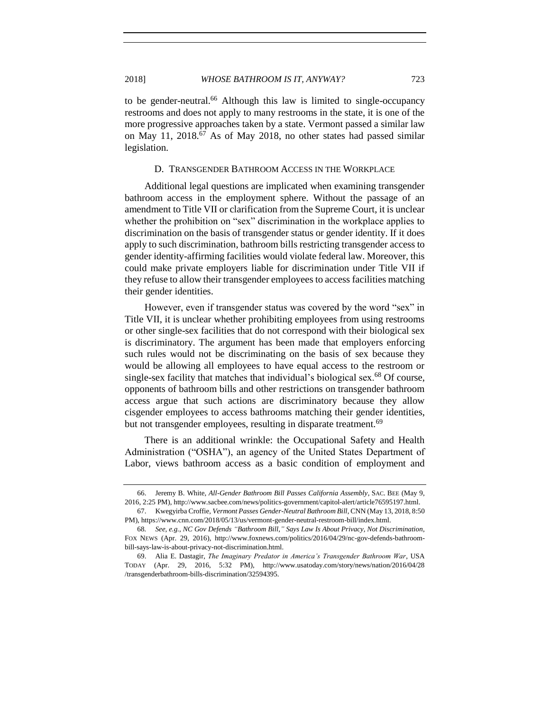to be gender-neutral.<sup>66</sup> Although this law is limited to single-occupancy restrooms and does not apply to many restrooms in the state, it is one of the more progressive approaches taken by a state. Vermont passed a similar law on May 11, 2018.<sup>67</sup> As of May 2018, no other states had passed similar legislation.

### D. TRANSGENDER BATHROOM ACCESS IN THE WORKPLACE

<span id="page-12-0"></span>Additional legal questions are implicated when examining transgender bathroom access in the employment sphere. Without the passage of an amendment to Title VII or clarification from the Supreme Court, it is unclear whether the prohibition on "sex" discrimination in the workplace applies to discrimination on the basis of transgender status or gender identity. If it does apply to such discrimination, bathroom bills restricting transgender access to gender identity-affirming facilities would violate federal law. Moreover, this could make private employers liable for discrimination under Title VII if they refuse to allow their transgender employees to access facilities matching their gender identities.

However, even if transgender status was covered by the word "sex" in Title VII, it is unclear whether prohibiting employees from using restrooms or other single-sex facilities that do not correspond with their biological sex is discriminatory. The argument has been made that employers enforcing such rules would not be discriminating on the basis of sex because they would be allowing all employees to have equal access to the restroom or single-sex facility that matches that individual's biological sex.<sup>68</sup> Of course, opponents of bathroom bills and other restrictions on transgender bathroom access argue that such actions are discriminatory because they allow cisgender employees to access bathrooms matching their gender identities, but not transgender employees, resulting in disparate treatment.<sup>69</sup>

There is an additional wrinkle: the Occupational Safety and Health Administration ("OSHA"), an agency of the United States Department of Labor, views bathroom access as a basic condition of employment and

<sup>66.</sup> Jeremy B. White, *All-Gender Bathroom Bill Passes California Assembly*, SAC. BEE (May 9, 2016, 2:25 PM), http://www.sacbee.com/news/politics-government/capitol-alert/article76595197.html.

<sup>67.</sup> Kwegyirba Croffie, *Vermont Passes Gender-Neutral Bathroom Bill*, CNN (May 13, 2018, 8:50 PM), https://www.cnn.com/2018/05/13/us/vermont-gender-neutral-restroom-bill/index.html.

<sup>68</sup>*. See, e.g.*, *NC Gov Defends "Bathroom Bill," Says Law Is About Privacy, Not Discrimination*, FOX NEWS (Apr. 29, 2016), http://www.foxnews.com/politics/2016/04/29/nc-gov-defends-bathroombill-says-law-is-about-privacy-not-discrimination.html.

<sup>69.</sup> Alia E. Dastagir, *The Imaginary Predator in America's Transgender Bathroom War*, USA TODAY (Apr. 29, 2016, 5:32 PM), http://www.usatoday.com/story/news/nation/2016/04/28 /transgenderbathroom-bills-discrimination/32594395.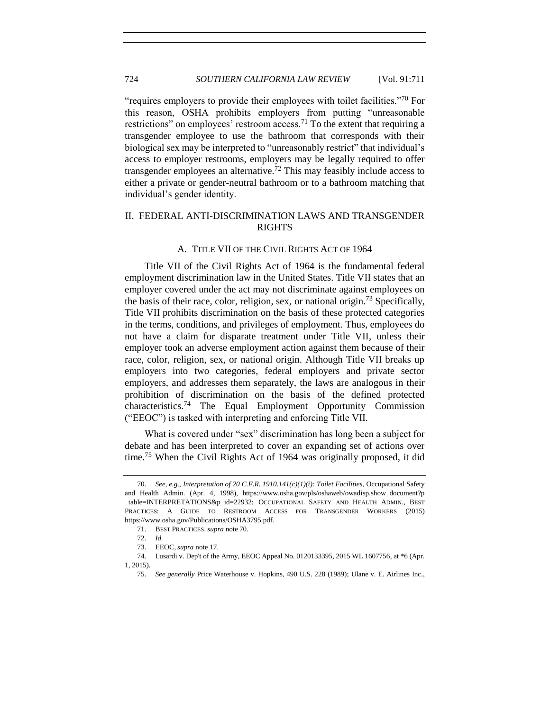"requires employers to provide their employees with toilet facilities."<sup>70</sup> For this reason, OSHA prohibits employers from putting "unreasonable restrictions" on employees' restroom access.<sup>71</sup> To the extent that requiring a transgender employee to use the bathroom that corresponds with their biological sex may be interpreted to "unreasonably restrict" that individual's access to employer restrooms, employers may be legally required to offer transgender employees an alternative.<sup> $72$ </sup> This may feasibly include access to either a private or gender-neutral bathroom or to a bathroom matching that individual's gender identity.

## <span id="page-13-0"></span>II. FEDERAL ANTI-DISCRIMINATION LAWS AND TRANSGENDER RIGHTS

## A. TITLE VII OF THE CIVIL RIGHTS ACT OF 1964

<span id="page-13-1"></span>Title VII of the Civil Rights Act of 1964 is the fundamental federal employment discrimination law in the United States. Title VII states that an employer covered under the act may not discriminate against employees on the basis of their race, color, religion, sex, or national origin.<sup>73</sup> Specifically, Title VII prohibits discrimination on the basis of these protected categories in the terms, conditions, and privileges of employment. Thus, employees do not have a claim for disparate treatment under Title VII, unless their employer took an adverse employment action against them because of their race, color, religion, sex, or national origin. Although Title VII breaks up employers into two categories, federal employers and private sector employers, and addresses them separately, the laws are analogous in their prohibition of discrimination on the basis of the defined protected characteristics.<sup>74</sup> The Equal Employment Opportunity Commission ("EEOC") is tasked with interpreting and enforcing Title VII.

What is covered under "sex" discrimination has long been a subject for debate and has been interpreted to cover an expanding set of actions over time.<sup>75</sup> When the Civil Rights Act of 1964 was originally proposed, it did

<sup>70.</sup> *See, e.g.*, *Interpretation of 20 C.F.R. 1910.141(c)(1)(i): Toilet Facilities*, Occupational Safety and Health Admin. (Apr. 4, 1998), https://www.osha.gov/pls/oshaweb/owadisp.show\_document?p \_table=INTERPRETATIONS&p\_id=22932; OCCUPATIONAL SAFETY AND HEALTH ADMIN., BEST PRACTICES: A GUIDE TO RESTROOM ACCESS FOR TRANSGENDER WORKERS (2015) https://www.osha.gov/Publications/OSHA3795.pdf.

<sup>71.</sup> BEST PRACTICES*, supra* note 70.

<sup>72.</sup> *Id.*

<sup>73.</sup> EEOC, *supra* not[e 17.](#page-4-0) 

<sup>74.</sup> Lusardi v. Dep't of the Army, EEOC Appeal No. 0120133395, 2015 WL 1607756, at \*6 (Apr. 1, 2015).

<sup>75.</sup> *See generally* Price Waterhouse v. Hopkins, 490 U.S. 228 (1989); Ulane v. E. Airlines Inc.,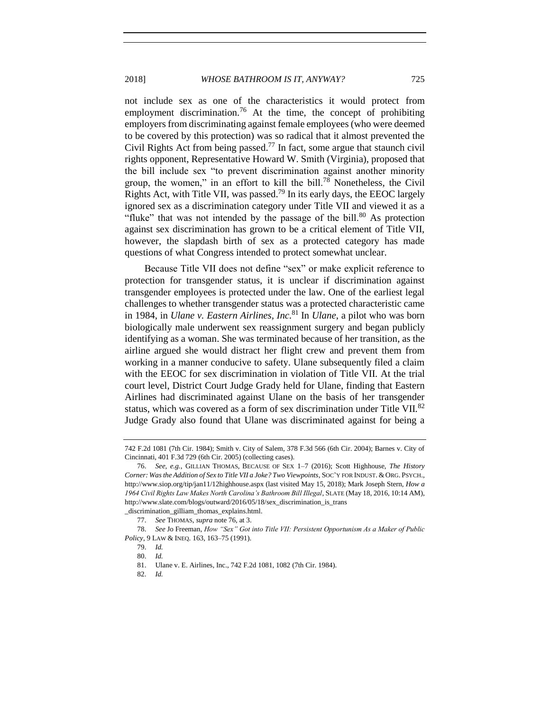not include sex as one of the characteristics it would protect from employment discrimination.<sup>76</sup> At the time, the concept of prohibiting employers from discriminating against female employees (who were deemed to be covered by this protection) was so radical that it almost prevented the Civil Rights Act from being passed.<sup>77</sup> In fact, some argue that staunch civil rights opponent, Representative Howard W. Smith (Virginia), proposed that the bill include sex "to prevent discrimination against another minority group, the women," in an effort to kill the bill.<sup>78</sup> Nonetheless, the Civil Rights Act, with Title VII, was passed.<sup>79</sup> In its early days, the EEOC largely ignored sex as a discrimination category under Title VII and viewed it as a "fluke" that was not intended by the passage of the bill. $80$  As protection against sex discrimination has grown to be a critical element of Title VII, however, the slapdash birth of sex as a protected category has made questions of what Congress intended to protect somewhat unclear.

Because Title VII does not define "sex" or make explicit reference to protection for transgender status, it is unclear if discrimination against transgender employees is protected under the law. One of the earliest legal challenges to whether transgender status was a protected characteristic came in 1984, in *Ulane v. Eastern Airlines, Inc.*<sup>81</sup> In *Ulane*, a pilot who was born biologically male underwent sex reassignment surgery and began publicly identifying as a woman. She was terminated because of her transition, as the airline argued she would distract her flight crew and prevent them from working in a manner conducive to safety. Ulane subsequently filed a claim with the EEOC for sex discrimination in violation of Title VII. At the trial court level, District Court Judge Grady held for Ulane, finding that Eastern Airlines had discriminated against Ulane on the basis of her transgender status, which was covered as a form of sex discrimination under Title VII.<sup>82</sup> Judge Grady also found that Ulane was discriminated against for being a

<sup>742</sup> F.2d 1081 (7th Cir. 1984); Smith v. City of Salem, 378 F.3d 566 (6th Cir. 2004); Barnes v. City of Cincinnati, 401 F.3d 729 (6th Cir. 2005) (collecting cases).

<sup>76.</sup> *See, e.g.*, GILLIAN THOMAS, BECAUSE OF SEX 1–7 (2016); Scott Highhouse, *The History Corner: Was the Addition of Sex to Title VII a Joke? Two Viewpoints*, SOC'Y FOR INDUST. & ORG. PSYCH., http://www.siop.org/tip/jan11/12highhouse.aspx (last visited May 15, 2018); Mark Joseph Stern, *How a 1964 Civil Rights Law Makes North Carolina's Bathroom Bill Illegal*, SLATE (May 18, 2016, 10:14 AM), http://www.slate.com/blogs/outward/2016/05/18/sex\_discrimination\_is\_trans

\_discrimination\_gilliam\_thomas\_explains.html. 77. *See* THOMAS, *supra* note 76, at 3.

<sup>78.</sup> *See* Jo Freeman, *How "Sex" Got into Title VII: Persistent Opportunism As a Maker of Public* 

*Policy*, 9 LAW & INEQ. 163, 163–75 (1991).

<sup>79.</sup> *Id.* 80. *Id.*

<sup>81.</sup> Ulane v. E. Airlines, Inc., 742 F.2d 1081, 1082 (7th Cir. 1984).

<sup>82.</sup> *Id.*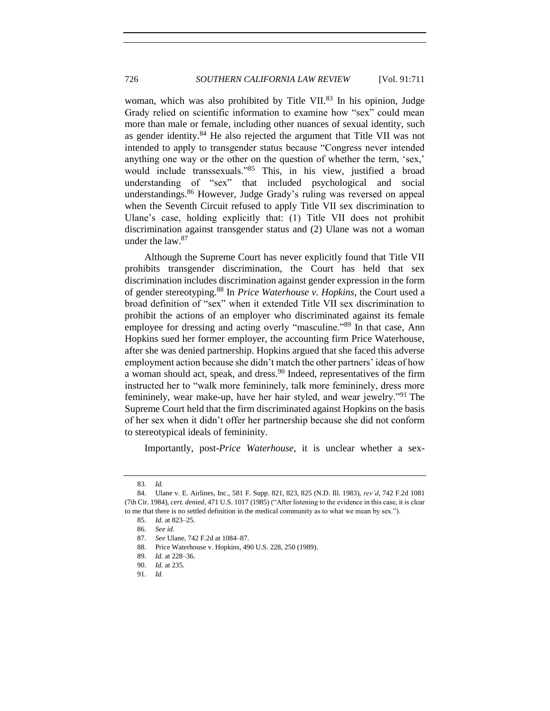woman, which was also prohibited by Title VII. <sup>83</sup> In his opinion, Judge Grady relied on scientific information to examine how "sex" could mean more than male or female, including other nuances of sexual identity, such as gender identity.<sup>84</sup> He also rejected the argument that Title VII was not intended to apply to transgender status because "Congress never intended anything one way or the other on the question of whether the term, 'sex,' would include transsexuals."<sup>85</sup> This, in his view, justified a broad understanding of "sex" that included psychological and social understandings.<sup>86</sup> However, Judge Grady's ruling was reversed on appeal when the Seventh Circuit refused to apply Title VII sex discrimination to Ulane's case, holding explicitly that: (1) Title VII does not prohibit discrimination against transgender status and (2) Ulane was not a woman under the law.<sup>87</sup>

Although the Supreme Court has never explicitly found that Title VII prohibits transgender discrimination, the Court has held that sex discrimination includes discrimination against gender expression in the form of gender stereotyping.<sup>88</sup> In *Price Waterhouse v. Hopkins*, the Court used a broad definition of "sex" when it extended Title VII sex discrimination to prohibit the actions of an employer who discriminated against its female employee for dressing and acting overly "masculine."<sup>89</sup> In that case, Ann Hopkins sued her former employer, the accounting firm Price Waterhouse, after she was denied partnership. Hopkins argued that she faced this adverse employment action because she didn't match the other partners' ideas of how a woman should act, speak, and dress.<sup>90</sup> Indeed, representatives of the firm instructed her to "walk more femininely, talk more femininely, dress more femininely, wear make-up, have her hair styled, and wear jewelry."<sup>91</sup> The Supreme Court held that the firm discriminated against Hopkins on the basis of her sex when it didn't offer her partnership because she did not conform to stereotypical ideals of femininity.

Importantly, post-*Price Waterhouse*, it is unclear whether a sex-

<sup>83.</sup> *Id.* 

<sup>84.</sup> Ulane v. E. Airlines, Inc., 581 F. Supp. 821, 823, 825 (N.D. Ill. 1983), *rev'd*, 742 F.2d 1081 (7th Cir. 1984), *cert. denied*, 471 U.S. 1017 (1985) ("After listening to the evidence in this case, it is clear to me that there is no settled definition in the medical community as to what we mean by sex.").

<sup>85.</sup> *Id.* at 823–25.

<sup>86.</sup> *See id.*

<sup>87.</sup> *See* Ulane, 742 F.2d at 1084–87.

<sup>88.</sup> Price Waterhouse v. Hopkins, 490 U.S. 228, 250 (1989).

<sup>89.</sup> *Id.* at 228–36.

<sup>90.</sup> *Id.* at 235.

<sup>91.</sup> *Id.*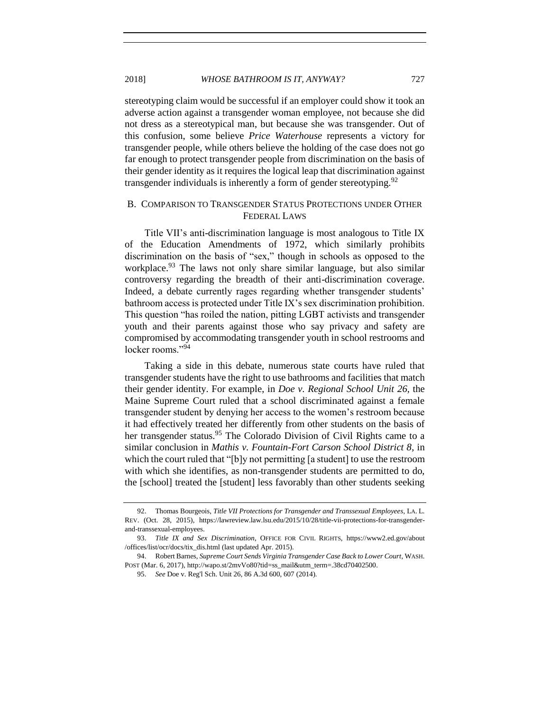stereotyping claim would be successful if an employer could show it took an adverse action against a transgender woman employee, not because she did not dress as a stereotypical man, but because she was transgender. Out of this confusion, some believe *Price Waterhouse* represents a victory for transgender people, while others believe the holding of the case does not go far enough to protect transgender people from discrimination on the basis of their gender identity as it requires the logical leap that discrimination against transgender individuals is inherently a form of gender stereotyping. $92$ 

## <span id="page-16-0"></span>B. COMPARISON TO TRANSGENDER STATUS PROTECTIONS UNDER OTHER FEDERAL LAWS

Title VII's anti-discrimination language is most analogous to Title IX of the Education Amendments of 1972, which similarly prohibits discrimination on the basis of "sex," though in schools as opposed to the workplace.<sup>93</sup> The laws not only share similar language, but also similar controversy regarding the breadth of their anti-discrimination coverage. Indeed, a debate currently rages regarding whether transgender students' bathroom access is protected under Title IX's sex discrimination prohibition. This question "has roiled the nation, pitting LGBT activists and transgender youth and their parents against those who say privacy and safety are compromised by accommodating transgender youth in school restrooms and locker rooms."94

<span id="page-16-1"></span>Taking a side in this debate, numerous state courts have ruled that transgender students have the right to use bathrooms and facilities that match their gender identity. For example, in *Doe v. Regional School Unit 26,* the Maine Supreme Court ruled that a school discriminated against a female transgender student by denying her access to the women's restroom because it had effectively treated her differently from other students on the basis of her transgender status.<sup>95</sup> The Colorado Division of Civil Rights came to a similar conclusion in *Mathis v. Fountain-Fort Carson School District 8*, in which the court ruled that "[b]y not permitting [a student] to use the restroom with which she identifies, as non-transgender students are permitted to do, the [school] treated the [student] less favorably than other students seeking

<sup>92.</sup> Thomas Bourgeois, *Title VII Protections for Transgender and Transsexual Employees*, LA. L. REV. (Oct. 28, 2015), https://lawreview.law.lsu.edu/2015/10/28/title-vii-protections-for-transgenderand-transsexual-employees.

<sup>93.</sup> *Title IX and Sex Discrimination*, OFFICE FOR CIVIL RIGHTS, https://www2.ed.gov/about /offices/list/ocr/docs/tix\_dis.html (last updated Apr. 2015).

<sup>94.</sup> Robert Barnes, *Supreme Court Sends Virginia Transgender Case Back to Lower Court*, WASH. POST (Mar. 6, 2017), http://wapo.st/2mvVo80?tid=ss\_mail&utm\_term=.38cd70402500.

<sup>95.</sup> *See* Doe v. Reg'l Sch. Unit 26, 86 A.3d 600, 607 (2014).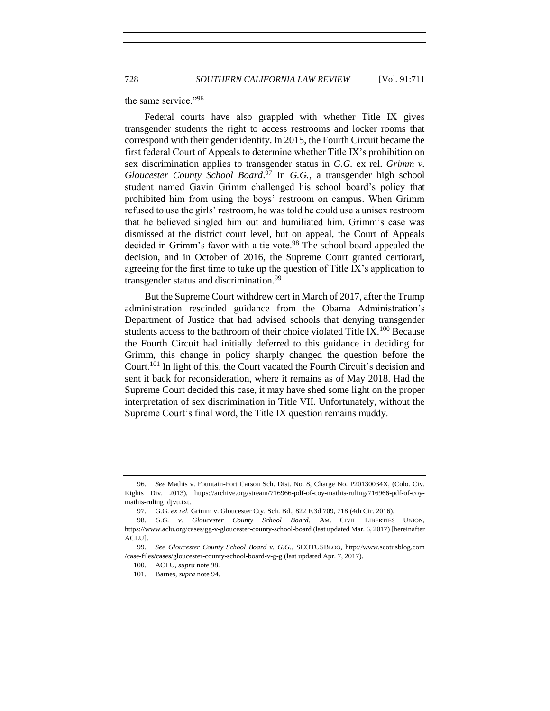the same service."<sup>96</sup>

Federal courts have also grappled with whether Title IX gives transgender students the right to access restrooms and locker rooms that correspond with their gender identity. In 2015, the Fourth Circuit became the first federal Court of Appeals to determine whether Title IX's prohibition on sex discrimination applies to transgender status in *G.G.* ex rel. *Grimm v. Gloucester County School Board*. <sup>97</sup> In *G.G.*, a transgender high school student named Gavin Grimm challenged his school board's policy that prohibited him from using the boys' restroom on campus. When Grimm refused to use the girls' restroom, he was told he could use a unisex restroom that he believed singled him out and humiliated him. Grimm's case was dismissed at the district court level, but on appeal, the Court of Appeals decided in Grimm's favor with a tie vote.<sup>98</sup> The school board appealed the decision, and in October of 2016, the Supreme Court granted certiorari, agreeing for the first time to take up the question of Title IX's application to transgender status and discrimination.<sup>99</sup>

<span id="page-17-0"></span>But the Supreme Court withdrew cert in March of 2017, after the Trump administration rescinded guidance from the Obama Administration's Department of Justice that had advised schools that denying transgender students access to the bathroom of their choice violated Title IX.<sup>100</sup> Because the Fourth Circuit had initially deferred to this guidance in deciding for Grimm, this change in policy sharply changed the question before the Court.<sup>101</sup> In light of this, the Court vacated the Fourth Circuit's decision and sent it back for reconsideration, where it remains as of May 2018. Had the Supreme Court decided this case, it may have shed some light on the proper interpretation of sex discrimination in Title VII. Unfortunately, without the Supreme Court's final word, the Title IX question remains muddy.

<sup>96.</sup> *See* Mathis v. Fountain-Fort Carson Sch. Dist. No. 8, Charge No. P20130034X, (Colo. Civ. Rights Div. 2013), https://archive.org/stream/716966-pdf-of-coy-mathis-ruling/716966-pdf-of-coymathis-ruling\_djvu.txt.

<sup>97.</sup> G.G. *ex rel.* Grimm v. Gloucester Cty. Sch. Bd., 822 F.3d 709, 718 (4th Cir. 2016).

<sup>98.</sup> *G.G. v. Gloucester County School Board*, AM. CIVIL LIBERTIES UNION, https://www.aclu.org/cases/gg-v-gloucester-county-school-board (last updated Mar. 6, 2017) [hereinafter ACLU].

<sup>99.</sup> *See Gloucester County School Board v. G.G.*, SCOTUSBLOG, http://www.scotusblog.com /case-files/cases/gloucester-county-school-board-v-g-g (last updated Apr. 7, 2017).

<sup>100.</sup> ACLU, *supra* note [98.](#page-17-0) 

<sup>101.</sup> Barnes, *supra* not[e 94.](#page-16-1)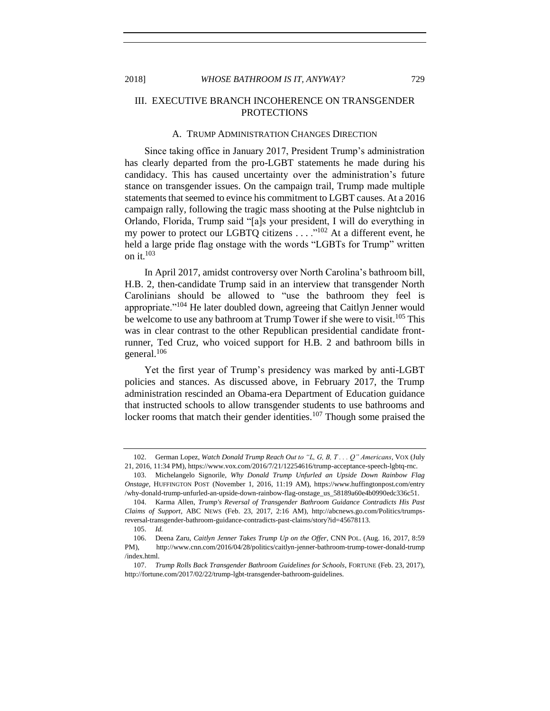## <span id="page-18-0"></span>III. EXECUTIVE BRANCH INCOHERENCE ON TRANSGENDER **PROTECTIONS**

#### A. TRUMP ADMINISTRATION CHANGES DIRECTION

<span id="page-18-1"></span>Since taking office in January 2017, President Trump's administration has clearly departed from the pro-LGBT statements he made during his candidacy. This has caused uncertainty over the administration's future stance on transgender issues. On the campaign trail, Trump made multiple statements that seemed to evince his commitment to LGBT causes. At a 2016 campaign rally, following the tragic mass shooting at the Pulse nightclub in Orlando, Florida, Trump said "[a]s your president, I will do everything in my power to protect our LGBTQ citizens  $\dots$   $\cdot$ <sup>102</sup> At a different event, he held a large pride flag onstage with the words "LGBTs for Trump" written on it. $103$ 

In April 2017, amidst controversy over North Carolina's bathroom bill, H.B. 2, then-candidate Trump said in an interview that transgender North Carolinians should be allowed to "use the bathroom they feel is appropriate."<sup>104</sup> He later doubled down, agreeing that Caitlyn Jenner would be welcome to use any bathroom at Trump Tower if she were to visit.<sup>105</sup> This was in clear contrast to the other Republican presidential candidate frontrunner, Ted Cruz, who voiced support for H.B. 2 and bathroom bills in general.<sup>106</sup>

Yet the first year of Trump's presidency was marked by anti-LGBT policies and stances. As discussed above, in February 2017, the Trump administration rescinded an Obama-era Department of Education guidance that instructed schools to allow transgender students to use bathrooms and locker rooms that match their gender identities.<sup>107</sup> Though some praised the

<sup>102.</sup> German Lopez, *Watch Donald Trump Reach Out to "L, G, B, T . . . Q" Americans*, VOX (July 21, 2016, 11:34 PM), https://www.vox.com/2016/7/21/12254616/trump-acceptance-speech-lgbtq-rnc.

<sup>103.</sup> Michelangelo Signorile, *Why Donald Trump Unfurled an Upside Down Rainbow Flag Onstage*, HUFFINGTON POST (November 1, 2016, 11:19 AM), https://www.huffingtonpost.com/entry /why-donald-trump-unfurled-an-upside-down-rainbow-flag-onstage\_us\_58189a60e4b0990edc336c51.

<sup>104.</sup> Karma Allen, *Trump's Reversal of Transgender Bathroom Guidance Contradicts His Past Claims of Support*, ABC NEWS (Feb. 23, 2017, 2:16 AM), http://abcnews.go.com/Politics/trumpsreversal-transgender-bathroom-guidance-contradicts-past-claims/story?id=45678113.

<sup>105.</sup> *Id.*

<sup>106.</sup> Deena Zaru, *Caitlyn Jenner Takes Trump Up on the Offer*, CNN POL. (Aug. 16, 2017, 8:59 PM), http://www.cnn.com/2016/04/28/politics/caitlyn-jenner-bathroom-trump-tower-donald-trump /index.html.

<sup>107.</sup> *Trump Rolls Back Transgender Bathroom Guidelines for Schools*, FORTUNE (Feb. 23, 2017), http://fortune.com/2017/02/22/trump-lgbt-transgender-bathroom-guidelines.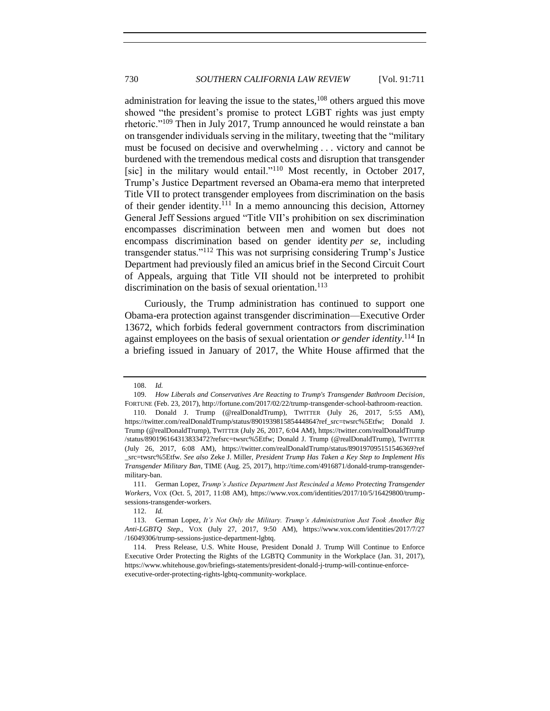administration for leaving the issue to the states, $108$  others argued this move showed "the president's promise to protect LGBT rights was just empty rhetoric."<sup>109</sup> Then in July 2017, Trump announced he would reinstate a ban on transgender individuals serving in the military, tweeting that the "military must be focused on decisive and overwhelming . . . victory and cannot be burdened with the tremendous medical costs and disruption that transgender [sic] in the military would entail."<sup>110</sup> Most recently, in October 2017, Trump's Justice Department reversed an Obama-era memo that interpreted Title VII to protect transgender employees from discrimination on the basis of their gender identity.<sup>111</sup> In a memo announcing this decision, Attorney General Jeff Sessions argued "Title VII's prohibition on sex discrimination encompasses discrimination between men and women but does not encompass discrimination based on gender identity *per se*, including transgender status."<sup>112</sup> This was not surprising considering Trump's Justice Department had previously filed an amicus brief in the Second Circuit Court of Appeals, arguing that Title VII should not be interpreted to prohibit discrimination on the basis of sexual orientation.<sup>113</sup>

<span id="page-19-0"></span>Curiously, the Trump administration has continued to support one Obama-era protection against transgender discrimination—Executive Order 13672, which forbids federal government contractors from discrimination against employees on the basis of sexual orientation *or gender identity*. <sup>114</sup> In a briefing issued in January of 2017, the White House affirmed that the

<sup>108.</sup> *Id.*

<sup>109.</sup> *How Liberals and Conservatives Are Reacting to Trump's Transgender Bathroom Decision*, FORTUNE (Feb. 23, 2017), http://fortune.com/2017/02/22/trump-transgender-school-bathroom-reaction.

<sup>110.</sup> Donald J. Trump (@realDonaldTrump), TWITTER (July 26, 2017, 5:55 AM), https://twitter.com/realDonaldTrump/status/890193981585444864?ref\_src=twsrc%5Etfw; Donald J. Trump (@realDonaldTrump), TWITTER (July 26, 2017, 6:04 AM), https://twitter.com/realDonaldTrump /status/890196164313833472?refsrc=twsrc%5Etfw; Donald J. Trump (@realDonaldTrump), TWITTER (July 26, 2017, 6:08 AM), https://twitter.com/realDonaldTrump/status/890197095151546369?ref \_src=twsrc%5Etfw. *See also* Zeke J. Miller, *President Trump Has Taken a Key Step to Implement His Transgender Military Ban*, TIME (Aug. 25, 2017), http://time.com/4916871/donald-trump-transgendermilitary-ban.

<sup>111.</sup> German Lopez, *Trump's Justice Department Just Rescinded a Memo Protecting Transgender Workers*, VOX (Oct. 5, 2017, 11:08 AM), https://www.vox.com/identities/2017/10/5/16429800/trumpsessions-transgender-workers.

<sup>112.</sup> *Id.*

<sup>113.</sup> German Lopez, *It's Not Only the Military. Trump's Administration Just Took Another Big Anti-LGBTQ Step.*, VOX (July 27, 2017, 9:50 AM), https://www.vox.com/identities/2017/7/27 /16049306/trump-sessions-justice-department-lgbtq.

<sup>114.</sup> Press Release, U.S. White House, President Donald J. Trump Will Continue to Enforce Executive Order Protecting the Rights of the LGBTQ Community in the Workplace (Jan. 31, 2017), https://www.whitehouse.gov/briefings-statements/president-donald-j-trump-will-continue-enforceexecutive-order-protecting-rights-lgbtq-community-workplace.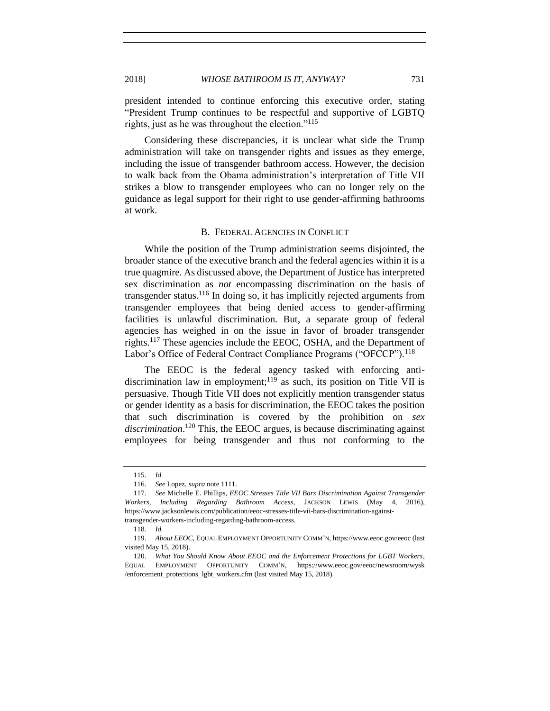president intended to continue enforcing this executive order, stating "President Trump continues to be respectful and supportive of LGBTQ rights, just as he was throughout the election."<sup>115</sup>

Considering these discrepancies, it is unclear what side the Trump administration will take on transgender rights and issues as they emerge, including the issue of transgender bathroom access. However, the decision to walk back from the Obama administration's interpretation of Title VII strikes a blow to transgender employees who can no longer rely on the guidance as legal support for their right to use gender-affirming bathrooms at work.

#### B. FEDERAL AGENCIES IN CONFLICT

<span id="page-20-0"></span>While the position of the Trump administration seems disjointed, the broader stance of the executive branch and the federal agencies within it is a true quagmire. As discussed above, the Department of Justice has interpreted sex discrimination as *not* encompassing discrimination on the basis of transgender status.<sup>116</sup> In doing so, it has implicitly rejected arguments from transgender employees that being denied access to gender-affirming facilities is unlawful discrimination. But, a separate group of federal agencies has weighed in on the issue in favor of broader transgender rights.<sup>117</sup> These agencies include the EEOC, OSHA, and the Department of Labor's Office of Federal Contract Compliance Programs ("OFCCP").<sup>118</sup>

The EEOC is the federal agency tasked with enforcing antidiscrimination law in employment;<sup>119</sup> as such, its position on Title VII is persuasive. Though Title VII does not explicitly mention transgender status or gender identity as a basis for discrimination, the EEOC takes the position that such discrimination is covered by the prohibition on *sex discrimination*. <sup>120</sup> This, the EEOC argues, is because discriminating against employees for being transgender and thus not conforming to the

<sup>115.</sup> *Id.*

<sup>116.</sup> *See* Lopez, *supra* not[e 1111](#page-19-0).

<sup>117.</sup> *See* Michelle E. Phillips, *EEOC Stresses Title VII Bars Discrimination Against Transgender Workers, Including Regarding Bathroom Access*, JACKSON LEWIS (May 4, 2016), https://www.jacksonlewis.com/publication/eeoc-stresses-title-vii-bars-discrimination-againsttransgender-workers-including-regarding-bathroom-access.

<sup>118.</sup> *Id.*

<sup>119.</sup> *About EEOC*, EQUAL EMPLOYMENT OPPORTUNITY COMM'N, https://www.eeoc.gov/eeoc (last visited May 15, 2018).

<sup>120.</sup> *What You Should Know About EEOC and the Enforcement Protections for LGBT Workers*, EQUAL EMPLOYMENT OPPORTUNITY COMM'N, https://www.eeoc.gov/eeoc/newsroom/wysk /enforcement\_protections\_lgbt\_workers.cfm (last visited May 15, 2018).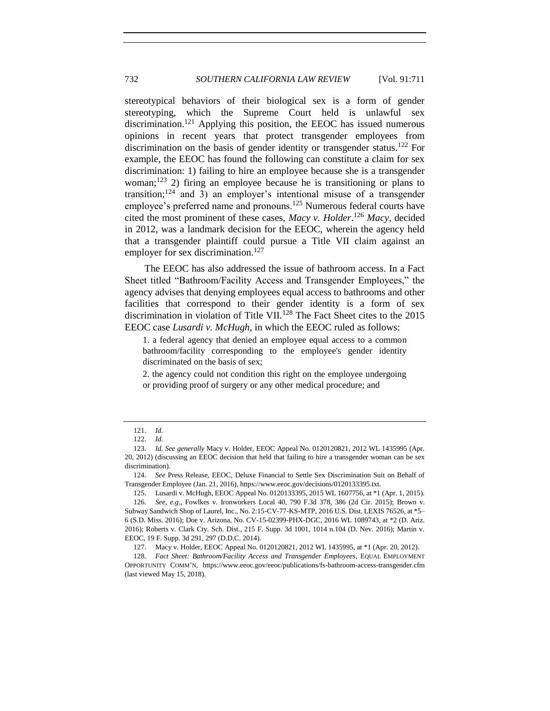stereotypical behaviors of their biological sex is a form of gender stereotyping, which the Supreme Court held is unlawful sex discrimination.<sup>121</sup> Applying this position, the EEOC has issued numerous opinions in recent years that protect transgender employees from discrimination on the basis of gender identity or transgender status.<sup>122</sup> For example, the EEOC has found the following can constitute a claim for sex discrimination: 1) failing to hire an employee because she is a transgender woman;<sup>123</sup> 2) firing an employee because he is transitioning or plans to transition; $124$  and 3) an employer's intentional misuse of a transgender employee's preferred name and pronouns.<sup>125</sup> Numerous federal courts have cited the most prominent of these cases, *Macy v. Holder*. <sup>126</sup> *Macy*, decided in 2012, was a landmark decision for the EEOC, wherein the agency held that a transgender plaintiff could pursue a Title VII claim against an employer for sex discrimination.<sup>127</sup>

The EEOC has also addressed the issue of bathroom access. In a Fact Sheet titled "Bathroom/Facility Access and Transgender Employees," the agency advises that denying employees equal access to bathrooms and other facilities that correspond to their gender identity is a form of sex discrimination in violation of Title VII.<sup>128</sup> The Fact Sheet cites to the  $2015$ EEOC case *Lusardi v. McHugh*, in which the EEOC ruled as follows:

1. a federal agency that denied an employee equal access to a common bathroom/facility corresponding to the employee's gender identity discriminated on the basis of sex;

2. the agency could not condition this right on the employee undergoing or providing proof of surgery or any other medical procedure; and

<sup>121.</sup> *Id.*

<sup>122.</sup> *Id.*

<sup>123.</sup> *Id. See generally* Macy v. Holder, EEOC Appeal No. 0120120821, 2012 WL 1435995 (Apr. 20, 2012) (discussing an EEOC decision that held that failing to hire a transgender woman can be sex discrimination).

<sup>124.</sup> *See* Press Release, EEOC, Deluxe Financial to Settle Sex Discrimination Suit on Behalf of Transgender Employee (Jan. 21, 2016), https://www.eeoc.gov/decisions/0120133395.txt.

<sup>125.</sup> Lusardi v. McHugh, EEOC Appeal No. 0120133395, 2015 WL 1607756, at \*1 (Apr. 1, 2015). 126. *See, e.g.*, Fowlkes v. Ironworkers Local 40, 790 F.3d 378, 386 (2d Cir. 2015); Brown v. Subway Sandwich Shop of Laurel, Inc., No. 2:15-CV-77-KS-MTP, 2016 U.S. Dist. LEXIS 76526, at \*5–

<sup>6 (</sup>S.D. Miss. 2016); Doe v. Arizona, No. CV-15-02399-PHX-DGC, 2016 WL 1089743, at \*2 (D. Ariz. 2016); Roberts v. Clark Cty. Sch. Dist., 215 F. Supp. 3d 1001, 1014 n.104 (D. Nev. 2016); Martin v. EEOC, 19 F. Supp. 3d 291, 297 (D.D.C. 2014).

<sup>127.</sup> Macy v. Holder, EEOC Appeal No. 0120120821, 2012 WL 1435995, at \*1 (Apr. 20, 2012).

<sup>128.</sup> *Fact Sheet: Bathroom/Facility Access and Transgender Employees*, EQUAL EMPLOYMENT OPPORTUNITY COMM'N, https://www.eeoc.gov/eeoc/publications/fs-bathroom-access-transgender.cfm (last viewed May 15, 2018).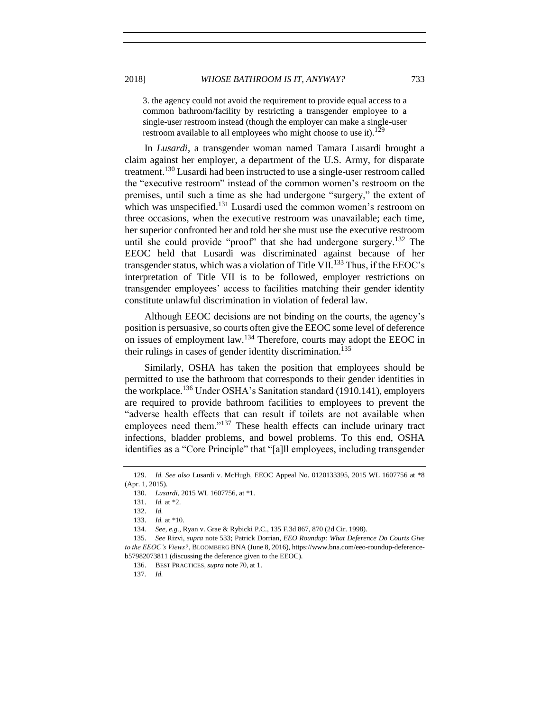3. the agency could not avoid the requirement to provide equal access to a

common bathroom/facility by restricting a transgender employee to a single-user restroom instead (though the employer can make a single-user restroom available to all employees who might choose to use it).<sup>129</sup>

In *Lusardi*, a transgender woman named Tamara Lusardi brought a claim against her employer, a department of the U.S. Army, for disparate treatment.<sup>130</sup> Lusardi had been instructed to use a single-user restroom called the "executive restroom" instead of the common women's restroom on the premises, until such a time as she had undergone "surgery," the extent of which was unspecified.<sup>131</sup> Lusardi used the common women's restroom on three occasions, when the executive restroom was unavailable; each time, her superior confronted her and told her she must use the executive restroom until she could provide "proof" that she had undergone surgery.<sup>132</sup> The EEOC held that Lusardi was discriminated against because of her transgender status, which was a violation of Title VII.<sup>133</sup> Thus, if the EEOC's interpretation of Title VII is to be followed, employer restrictions on transgender employees' access to facilities matching their gender identity constitute unlawful discrimination in violation of federal law.

Although EEOC decisions are not binding on the courts, the agency's position is persuasive, so courts often give the EEOC some level of deference on issues of employment law.<sup>134</sup> Therefore, courts may adopt the EEOC in their rulings in cases of gender identity discrimination.<sup>135</sup>

Similarly, OSHA has taken the position that employees should be permitted to use the bathroom that corresponds to their gender identities in the workplace.<sup>136</sup> Under OSHA's Sanitation standard (1910.141), employers are required to provide bathroom facilities to employees to prevent the "adverse health effects that can result if toilets are not available when employees need them."<sup>137</sup> These health effects can include urinary tract infections, bladder problems, and bowel problems. To this end, OSHA identifies as a "Core Principle" that "[a]ll employees, including transgender

<sup>129.</sup> *Id. See also* Lusardi v. McHugh, EEOC Appeal No. 0120133395, 2015 WL 1607756 at \*8 (Apr. 1, 2015).

<sup>130.</sup> *Lusardi*, 2015 WL 1607756, at \*1.

<sup>131.</sup> *Id.* at \*2.

<sup>132.</sup> *Id.*

<sup>133.</sup> *Id.* at \*10.

<sup>134</sup>*. See, e.g.*, Ryan v. Grae & Rybicki P.C., 135 F.3d 867, 870 (2d Cir. 1998).

<sup>135.</sup> *See* Rizvi, *supra* not[e 533](#page-10-0); Patrick Dorrian, *EEO Roundup: What Deference Do Courts Give to the EEOC's Views?*, BLOOMBERG BNA (June 8, 2016), https://www.bna.com/eeo-roundup-deferenceb57982073811 (discussing the deference given to the EEOC).

<sup>136.</sup> BEST PRACTICES*, supra* note 70, at 1.

<sup>137</sup>*. Id.*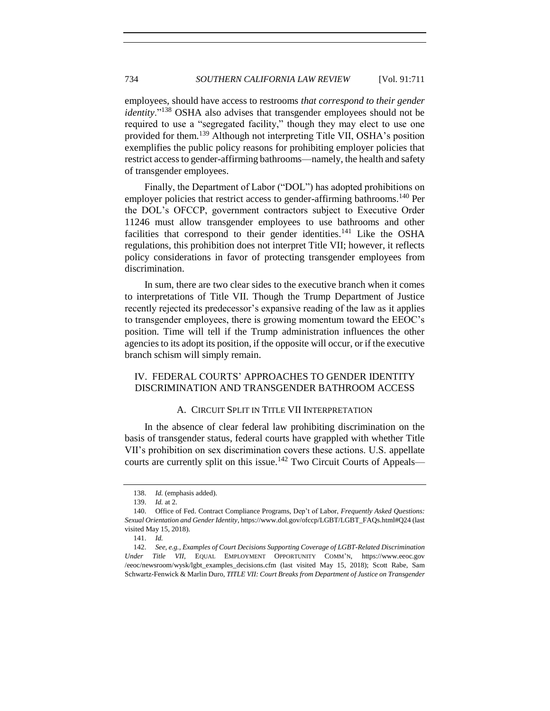employees, should have access to restrooms *that correspond to their gender identity*."<sup>138</sup> OSHA also advises that transgender employees should not be required to use a "segregated facility," though they may elect to use one provided for them.<sup>139</sup> Although not interpreting Title VII, OSHA's position exemplifies the public policy reasons for prohibiting employer policies that restrict access to gender-affirming bathrooms—namely, the health and safety of transgender employees.

Finally, the Department of Labor ("DOL") has adopted prohibitions on employer policies that restrict access to gender-affirming bathrooms.<sup>140</sup> Per the DOL's OFCCP, government contractors subject to Executive Order 11246 must allow transgender employees to use bathrooms and other facilities that correspond to their gender identities.<sup>141</sup> Like the OSHA regulations, this prohibition does not interpret Title VII; however, it reflects policy considerations in favor of protecting transgender employees from discrimination.

In sum, there are two clear sides to the executive branch when it comes to interpretations of Title VII. Though the Trump Department of Justice recently rejected its predecessor's expansive reading of the law as it applies to transgender employees, there is growing momentum toward the EEOC's position. Time will tell if the Trump administration influences the other agencies to its adopt its position, if the opposite will occur, or if the executive branch schism will simply remain.

# <span id="page-23-0"></span>IV. FEDERAL COURTS' APPROACHES TO GENDER IDENTITY DISCRIMINATION AND TRANSGENDER BATHROOM ACCESS

## A. CIRCUIT SPLIT IN TITLE VII INTERPRETATION

<span id="page-23-1"></span>In the absence of clear federal law prohibiting discrimination on the basis of transgender status, federal courts have grappled with whether Title VII's prohibition on sex discrimination covers these actions. U.S. appellate courts are currently split on this issue.<sup>142</sup> Two Circuit Courts of Appeals—

<sup>138.</sup> *Id.* (emphasis added).

<sup>139.</sup> *Id.* at 2.

<sup>140.</sup> Office of Fed. Contract Compliance Programs, Dep't of Labor, *Frequently Asked Questions: Sexual Orientation and Gender Identity*, https://www.dol.gov/ofccp/LGBT/LGBT\_FAQs.html#Q24 (last visited May 15, 2018).

<sup>141.</sup> *Id.*

<sup>142.</sup> *See, e.g.*, *Examples of Court Decisions Supporting Coverage of LGBT-Related Discrimination Under Title VII*, EQUAL EMPLOYMENT OPPORTUNITY COMM'N, https://www.eeoc.gov /eeoc/newsroom/wysk/lgbt\_examples\_decisions.cfm (last visited May 15, 2018); Scott Rabe, Sam Schwartz-Fenwick & Marlin Duro, *TITLE VII: Court Breaks from Department of Justice on Transgender*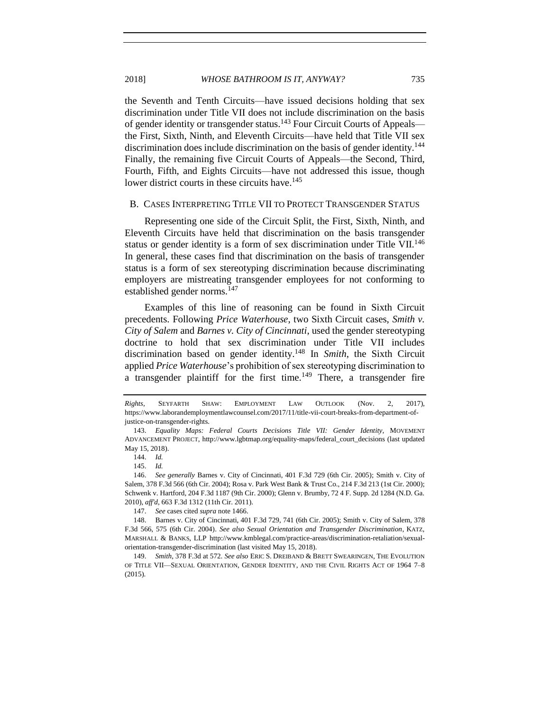the Seventh and Tenth Circuits—have issued decisions holding that sex discrimination under Title VII does not include discrimination on the basis of gender identity or transgender status.<sup>143</sup> Four Circuit Courts of Appeals the First, Sixth, Ninth, and Eleventh Circuits—have held that Title VII sex discrimination does include discrimination on the basis of gender identity.<sup>144</sup> Finally, the remaining five Circuit Courts of Appeals—the Second, Third, Fourth, Fifth, and Eights Circuits—have not addressed this issue, though lower district courts in these circuits have.<sup>145</sup>

#### <span id="page-24-0"></span>B. CASES INTERPRETING TITLE VII TO PROTECT TRANSGENDER STATUS

Representing one side of the Circuit Split, the First, Sixth, Ninth, and Eleventh Circuits have held that discrimination on the basis transgender status or gender identity is a form of sex discrimination under Title VII.<sup>146</sup> In general, these cases find that discrimination on the basis of transgender status is a form of sex stereotyping discrimination because discriminating employers are mistreating transgender employees for not conforming to established gender norms.<sup>147</sup>

Examples of this line of reasoning can be found in Sixth Circuit precedents. Following *Price Waterhouse*, two Sixth Circuit cases, *Smith v. City of Salem* and *Barnes v. City of Cincinnati*, used the gender stereotyping doctrine to hold that sex discrimination under Title VII includes discrimination based on gender identity.<sup>148</sup> In *Smith*, the Sixth Circuit applied *Price Waterhouse*'s prohibition of sex stereotyping discrimination to a transgender plaintiff for the first time.<sup>149</sup> There, a transgender fire

<span id="page-24-1"></span>

<span id="page-24-2"></span>*Rights*, SEYFARTH SHAW: EMPLOYMENT LAW OUTLOOK (Nov. 2, 2017), https://www.laborandemploymentlawcounsel.com/2017/11/title-vii-court-breaks-from-department-ofjustice-on-transgender-rights.

<sup>143.</sup> *Equality Maps: Federal Courts Decisions Title VII: Gender Identity*, MOVEMENT ADVANCEMENT PROJECT, http://www.lgbtmap.org/equality-maps/federal\_court\_decisions (last updated May 15, 2018).

<sup>144.</sup> *Id.*

<sup>145.</sup> *Id.*

<sup>146.</sup> *See generally* Barnes v. City of Cincinnati, 401 F.3d 729 (6th Cir. 2005); Smith v. City of Salem, 378 F.3d 566 (6th Cir. 2004); Rosa v. Park West Bank & Trust Co., 214 F.3d 213 (1st Cir. 2000); Schwenk v. Hartford, 204 F.3d 1187 (9th Cir. 2000); Glenn v. Brumby, 72 4 F. Supp. 2d 1284 (N.D. Ga. 2010), *aff'd*, 663 F.3d 1312 (11th Cir. 2011).

<sup>147.</sup> *See* cases cited *supra* not[e 1466](#page-24-1).

<sup>148.</sup> Barnes v. City of Cincinnati, 401 F.3d 729, 741 (6th Cir. 2005); Smith v. City of Salem, 378 F.3d 566, 575 (6th Cir. 2004). *See also Sexual Orientation and Transgender Discrimination*, KATZ, MARSHALL & BANKS, LLP http://www.kmblegal.com/practice-areas/discrimination-retaliation/sexualorientation-transgender-discrimination (last visited May 15, 2018).

<sup>149.</sup> *Smith*, 378 F.3d at 572. *See also* ERIC S. DREIBAND & BRETT SWEARINGEN, THE EVOLUTION OF TITLE VII—SEXUAL ORIENTATION, GENDER IDENTITY, AND THE CIVIL RIGHTS ACT OF 1964 7–8 (2015).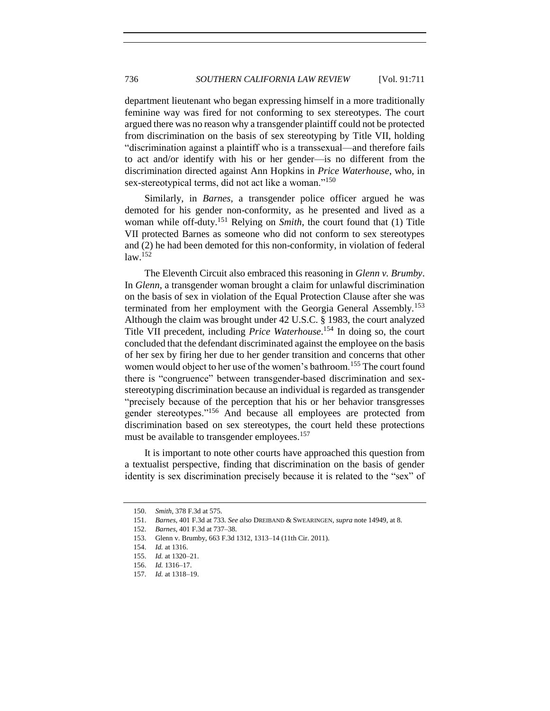department lieutenant who began expressing himself in a more traditionally feminine way was fired for not conforming to sex stereotypes. The court argued there was no reason why a transgender plaintiff could not be protected from discrimination on the basis of sex stereotyping by Title VII, holding "discrimination against a plaintiff who is a transsexual—and therefore fails to act and/or identify with his or her gender—is no different from the discrimination directed against Ann Hopkins in *Price Waterhouse*, who, in sex-stereotypical terms, did not act like a woman."<sup>150</sup>

Similarly, in *Barnes*, a transgender police officer argued he was demoted for his gender non-conformity, as he presented and lived as a woman while off-duty.<sup>151</sup> Relying on *Smith*, the court found that (1) Title VII protected Barnes as someone who did not conform to sex stereotypes and (2) he had been demoted for this non-conformity, in violation of federal  $law.<sup>152</sup>$ 

The Eleventh Circuit also embraced this reasoning in *Glenn v. Brumby*. In *Glenn*, a transgender woman brought a claim for unlawful discrimination on the basis of sex in violation of the Equal Protection Clause after she was terminated from her employment with the Georgia General Assembly.<sup>153</sup> Although the claim was brought under 42 U.S.C. § 1983, the court analyzed Title VII precedent, including *Price Waterhouse*. <sup>154</sup> In doing so, the court concluded that the defendant discriminated against the employee on the basis of her sex by firing her due to her gender transition and concerns that other women would object to her use of the women's bathroom.<sup>155</sup> The court found there is "congruence" between transgender-based discrimination and sexstereotyping discrimination because an individual is regarded as transgender "precisely because of the perception that his or her behavior transgresses gender stereotypes."<sup>156</sup> And because all employees are protected from discrimination based on sex stereotypes, the court held these protections must be available to transgender employees.<sup>157</sup>

It is important to note other courts have approached this question from a textualist perspective, finding that discrimination on the basis of gender identity is sex discrimination precisely because it is related to the "sex" of

<sup>150.</sup> *Smith*, 378 F.3d at 575.

<sup>151.</sup> *Barnes*, 401 F.3d at 733. *See also* DREIBAND & SWEARINGEN, *supra* not[e 1494](#page-24-2)9, at 8.

<sup>152.</sup> *Barnes*, 401 F.3d at 737–38.

<sup>153.</sup> Glenn v. Brumby, 663 F.3d 1312, 1313–14 (11th Cir. 2011).

<sup>154.</sup> *Id.* at 1316.

<sup>155.</sup> *Id.* at 1320–21.

<sup>156.</sup> *Id.* 1316–17.

<sup>157.</sup> *Id.* at 1318–19.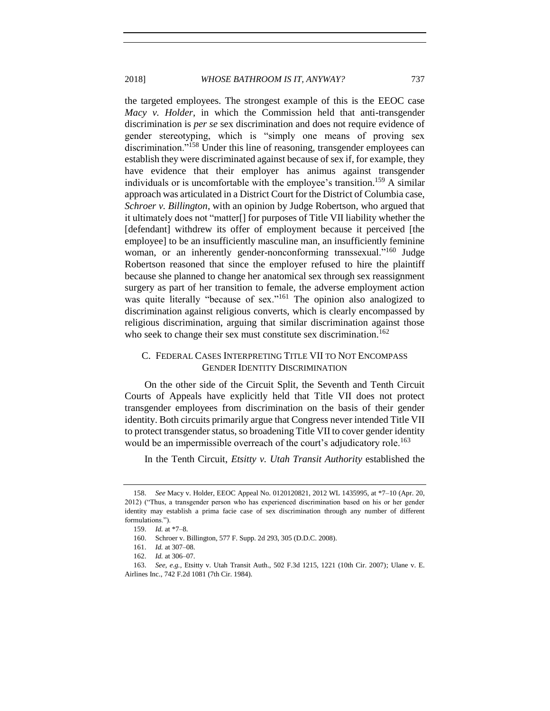2018] *WHOSE BATHROOM IS IT, ANYWAY?* 737

the targeted employees. The strongest example of this is the EEOC case *Macy v. Holder*, in which the Commission held that anti-transgender discrimination is *per se* sex discrimination and does not require evidence of gender stereotyping, which is "simply one means of proving sex discrimination."<sup>158</sup> Under this line of reasoning, transgender employees can establish they were discriminated against because of sex if, for example, they have evidence that their employer has animus against transgender individuals or is uncomfortable with the employee's transition.<sup>159</sup> A similar approach was articulated in a District Court for the District of Columbia case, *Schroer v. Billington*, with an opinion by Judge Robertson, who argued that it ultimately does not "matter[] for purposes of Title VII liability whether the [defendant] withdrew its offer of employment because it perceived [the employee] to be an insufficiently masculine man, an insufficiently feminine woman, or an inherently gender-nonconforming transsexual."<sup>160</sup> Judge Robertson reasoned that since the employer refused to hire the plaintiff because she planned to change her anatomical sex through sex reassignment surgery as part of her transition to female, the adverse employment action was quite literally "because of sex."<sup>161</sup> The opinion also analogized to discrimination against religious converts, which is clearly encompassed by religious discrimination, arguing that similar discrimination against those who seek to change their sex must constitute sex discrimination.<sup>162</sup>

# <span id="page-26-0"></span>C. FEDERAL CASES INTERPRETING TITLE VII TO NOT ENCOMPASS GENDER IDENTITY DISCRIMINATION

On the other side of the Circuit Split, the Seventh and Tenth Circuit Courts of Appeals have explicitly held that Title VII does not protect transgender employees from discrimination on the basis of their gender identity. Both circuits primarily argue that Congress never intended Title VII to protect transgender status, so broadening Title VII to cover gender identity would be an impermissible overreach of the court's adjudicatory role.<sup>163</sup>

In the Tenth Circuit, *Etsitty v. Utah Transit Authority* established the

<sup>158.</sup> *See* Macy v. Holder, EEOC Appeal No. 0120120821, 2012 WL 1435995, at \*7–10 (Apr. 20, 2012) ("Thus, a transgender person who has experienced discrimination based on his or her gender identity may establish a prima facie case of sex discrimination through any number of different formulations.").

<sup>159.</sup> *Id.* at \*7–8.

<sup>160.</sup> Schroer v. Billington, 577 F. Supp. 2d 293, 305 (D.D.C. 2008)*.*

<sup>161.</sup> *Id.* at 307–08.

<sup>162.</sup> *Id.* at 306–07.

<sup>163.</sup> *See, e.g.*, Etsitty v. Utah Transit Auth., 502 F.3d 1215, 1221 (10th Cir. 2007); Ulane v. E. Airlines Inc., 742 F.2d 1081 (7th Cir. 1984).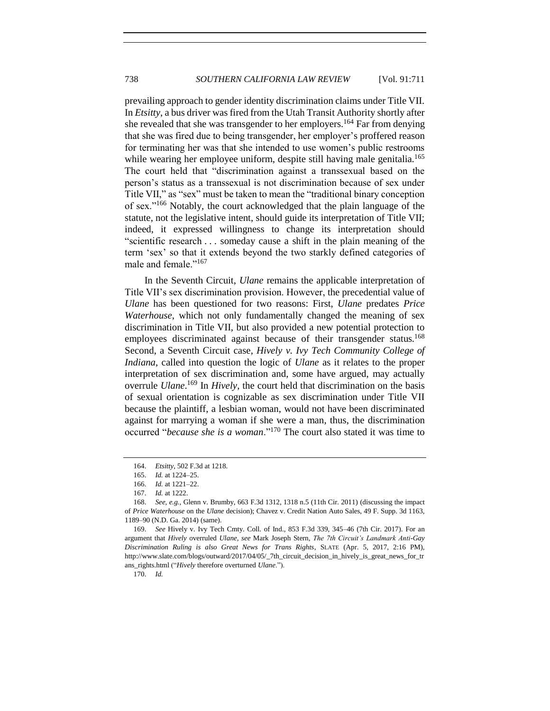prevailing approach to gender identity discrimination claims under Title VII. In *Etsitty*, a bus driver was fired from the Utah Transit Authority shortly after she revealed that she was transgender to her employers.<sup>164</sup> Far from denying that she was fired due to being transgender, her employer's proffered reason for terminating her was that she intended to use women's public restrooms while wearing her employee uniform, despite still having male genitalia.<sup>165</sup> The court held that "discrimination against a transsexual based on the person's status as a transsexual is not discrimination because of sex under Title VII," as "sex" must be taken to mean the "traditional binary conception of sex."<sup>166</sup> Notably, the court acknowledged that the plain language of the statute, not the legislative intent, should guide its interpretation of Title VII; indeed, it expressed willingness to change its interpretation should "scientific research . . . someday cause a shift in the plain meaning of the term 'sex' so that it extends beyond the two starkly defined categories of male and female."<sup>167</sup>

In the Seventh Circuit, *Ulane* remains the applicable interpretation of Title VII's sex discrimination provision. However, the precedential value of *Ulane* has been questioned for two reasons: First, *Ulane* predates *Price Waterhouse*, which not only fundamentally changed the meaning of sex discrimination in Title VII, but also provided a new potential protection to employees discriminated against because of their transgender status.<sup>168</sup> Second, a Seventh Circuit case, *Hively v. Ivy Tech Community College of Indiana*, called into question the logic of *Ulane* as it relates to the proper interpretation of sex discrimination and, some have argued, may actually overrule *Ulane*. <sup>169</sup> In *Hively*, the court held that discrimination on the basis of sexual orientation is cognizable as sex discrimination under Title VII because the plaintiff, a lesbian woman, would not have been discriminated against for marrying a woman if she were a man, thus, the discrimination occurred "*because she is a woman*."<sup>170</sup> The court also stated it was time to

169. *See* Hively v. Ivy Tech Cmty. Coll. of Ind., 853 F.3d 339, 345–46 (7th Cir. 2017). For an argument that *Hively* overruled *Ulane*, *see* Mark Joseph Stern, *The 7th Circuit's Landmark Anti-Gay Discrimination Ruling is also Great News for Trans Rights*, SLATE (Apr. 5, 2017, 2:16 PM), http://www.slate.com/blogs/outward/2017/04/05/\_7th\_circuit\_decision\_in\_hively\_is\_great\_news\_for\_tr ans\_rights.html ("*Hively* therefore overturned *Ulane*.").

170. *Id.*

<sup>164.</sup> *Etsitty*, 502 F.3d at 1218.

<sup>165.</sup> *Id.* at 1224–25.

<sup>166.</sup> *Id.* at 1221–22.

<sup>167.</sup> *Id.* at 1222.

<sup>168.</sup> *See, e.g.,* Glenn v. Brumby, 663 F.3d 1312, 1318 n.5 (11th Cir. 2011) (discussing the impact of *Price Waterhouse* on the *Ulane* decision); Chavez v. Credit Nation Auto Sales, 49 F. Supp. 3d 1163, 1189–90 (N.D. Ga. 2014) (same).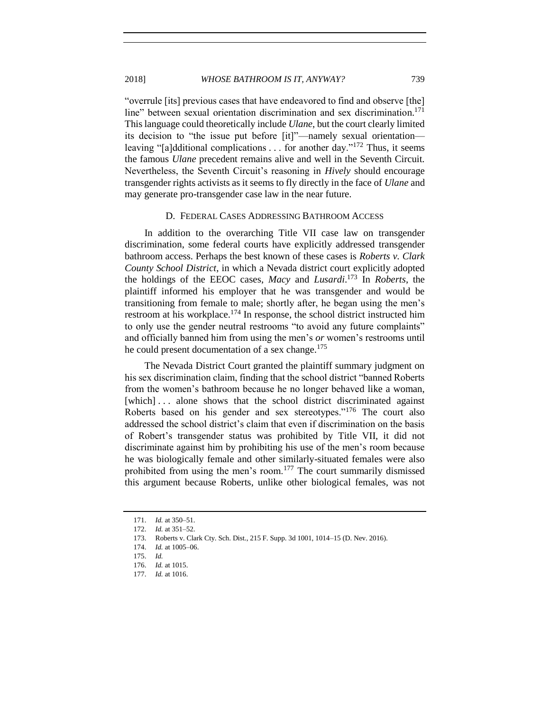"overrule [its] previous cases that have endeavored to find and observe [the] line" between sexual orientation discrimination and sex discrimination.<sup>171</sup> This language could theoretically include *Ulane*, but the court clearly limited its decision to "the issue put before [it]"—namely sexual orientation leaving "[a]dditional complications . . . for another day."<sup>172</sup> Thus, it seems the famous *Ulane* precedent remains alive and well in the Seventh Circuit. Nevertheless, the Seventh Circuit's reasoning in *Hively* should encourage transgender rights activists as it seems to fly directly in the face of *Ulane* and may generate pro-transgender case law in the near future.

#### D. FEDERAL CASES ADDRESSING BATHROOM ACCESS

<span id="page-28-0"></span>In addition to the overarching Title VII case law on transgender discrimination, some federal courts have explicitly addressed transgender bathroom access. Perhaps the best known of these cases is *Roberts v. Clark County School District*, in which a Nevada district court explicitly adopted the holdings of the EEOC cases, *Macy* and *Lusardi*. <sup>173</sup> In *Roberts*, the plaintiff informed his employer that he was transgender and would be transitioning from female to male; shortly after, he began using the men's restroom at his workplace.<sup>174</sup> In response, the school district instructed him to only use the gender neutral restrooms "to avoid any future complaints" and officially banned him from using the men's *or* women's restrooms until he could present documentation of a sex change.<sup>175</sup>

The Nevada District Court granted the plaintiff summary judgment on his sex discrimination claim, finding that the school district "banned Roberts from the women's bathroom because he no longer behaved like a woman, [which]... alone shows that the school district discriminated against Roberts based on his gender and sex stereotypes."<sup>176</sup> The court also addressed the school district's claim that even if discrimination on the basis of Robert's transgender status was prohibited by Title VII, it did not discriminate against him by prohibiting his use of the men's room because he was biologically female and other similarly-situated females were also prohibited from using the men's room.<sup>177</sup> The court summarily dismissed this argument because Roberts, unlike other biological females, was not

<sup>171.</sup> *Id.* at 350–51.

<sup>172.</sup> *Id.* at 351–52.

<sup>173.</sup> Roberts v. Clark Cty. Sch. Dist., 215 F. Supp. 3d 1001, 1014–15 (D. Nev. 2016).

<sup>174.</sup> *Id.* at 1005–06.

<sup>175.</sup> *Id.*

<sup>176.</sup> *Id.* at 1015.

<sup>177.</sup> *Id.* at 1016.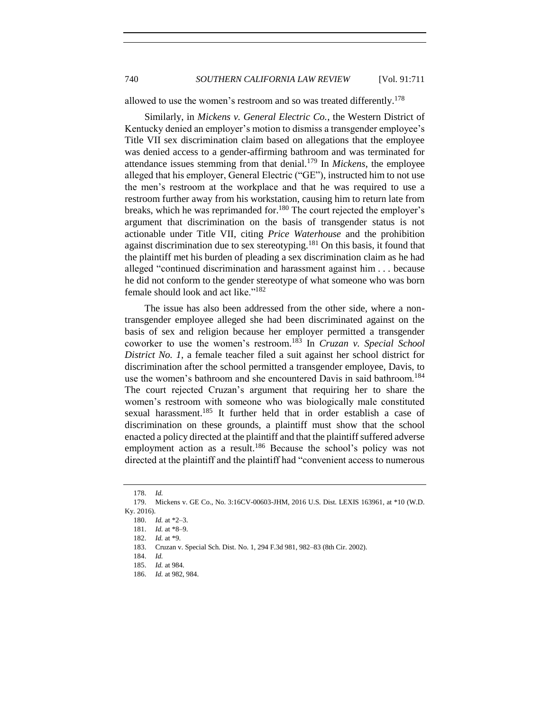740 *SOUTHERN CALIFORNIA LAW REVIEW* [Vol. 91:711

allowed to use the women's restroom and so was treated differently.<sup>178</sup>

Similarly, in *Mickens v. General Electric Co.*, the Western District of Kentucky denied an employer's motion to dismiss a transgender employee's Title VII sex discrimination claim based on allegations that the employee was denied access to a gender-affirming bathroom and was terminated for attendance issues stemming from that denial.<sup>179</sup> In *Mickens*, the employee alleged that his employer, General Electric ("GE"), instructed him to not use the men's restroom at the workplace and that he was required to use a restroom further away from his workstation, causing him to return late from breaks, which he was reprimanded for.<sup>180</sup> The court rejected the employer's argument that discrimination on the basis of transgender status is not actionable under Title VII, citing *Price Waterhouse* and the prohibition against discrimination due to sex stereotyping.<sup>181</sup> On this basis, it found that the plaintiff met his burden of pleading a sex discrimination claim as he had alleged "continued discrimination and harassment against him . . . because he did not conform to the gender stereotype of what someone who was born female should look and act like."<sup>182</sup>

The issue has also been addressed from the other side, where a nontransgender employee alleged she had been discriminated against on the basis of sex and religion because her employer permitted a transgender coworker to use the women's restroom. <sup>183</sup> In *Cruzan v. Special School District No. 1*, a female teacher filed a suit against her school district for discrimination after the school permitted a transgender employee, Davis, to use the women's bathroom and she encountered Davis in said bathroom.<sup>184</sup> The court rejected Cruzan's argument that requiring her to share the women's restroom with someone who was biologically male constituted sexual harassment.<sup>185</sup> It further held that in order establish a case of discrimination on these grounds, a plaintiff must show that the school enacted a policy directed at the plaintiff and that the plaintiff suffered adverse employment action as a result.<sup>186</sup> Because the school's policy was not directed at the plaintiff and the plaintiff had "convenient access to numerous

<sup>178.</sup> *Id.*

<sup>179.</sup> Mickens v. GE Co., No. 3:16CV-00603-JHM, 2016 U.S. Dist. LEXIS 163961, at \*10 (W.D. Ky. 2016).

<sup>180.</sup> *Id.* at \*2–3.

<sup>181.</sup> *Id.* at \*8–9.

<sup>182.</sup> *Id.* at \*9.

<sup>183.</sup> Cruzan v. Special Sch. Dist. No. 1, 294 F.3d 981, 982–83 (8th Cir. 2002).

<sup>184.</sup> *Id.*

<sup>185.</sup> *Id.* at 984.

<sup>186.</sup> *Id.* at 982, 984.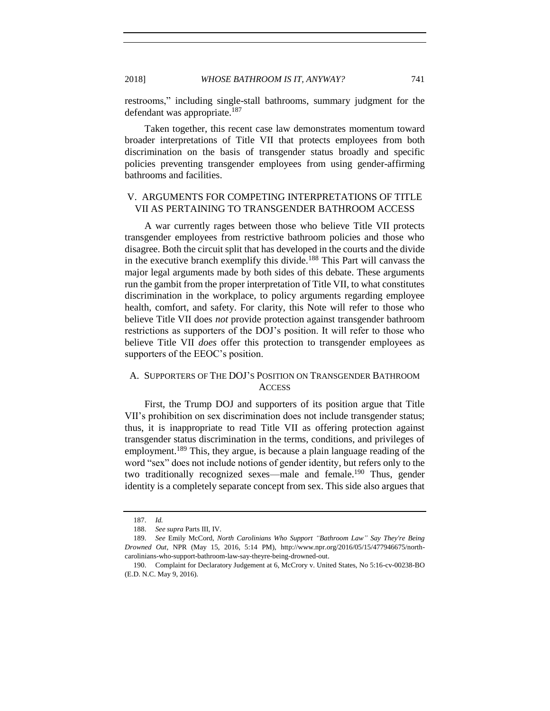restrooms," including single-stall bathrooms, summary judgment for the defendant was appropriate.<sup>187</sup>

Taken together, this recent case law demonstrates momentum toward broader interpretations of Title VII that protects employees from both discrimination on the basis of transgender status broadly and specific policies preventing transgender employees from using gender-affirming bathrooms and facilities.

# <span id="page-30-0"></span>V. ARGUMENTS FOR COMPETING INTERPRETATIONS OF TITLE VII AS PERTAINING TO TRANSGENDER BATHROOM ACCESS

A war currently rages between those who believe Title VII protects transgender employees from restrictive bathroom policies and those who disagree. Both the circuit split that has developed in the courts and the divide in the executive branch exemplify this divide.<sup>188</sup> This Part will canvass the major legal arguments made by both sides of this debate. These arguments run the gambit from the proper interpretation of Title VII, to what constitutes discrimination in the workplace, to policy arguments regarding employee health, comfort, and safety. For clarity, this Note will refer to those who believe Title VII does *not* provide protection against transgender bathroom restrictions as supporters of the DOJ's position. It will refer to those who believe Title VII *does* offer this protection to transgender employees as supporters of the EEOC's position.

# <span id="page-30-1"></span>A. SUPPORTERS OF THE DOJ'S POSITION ON TRANSGENDER BATHROOM **ACCESS**

First, the Trump DOJ and supporters of its position argue that Title VII's prohibition on sex discrimination does not include transgender status; thus, it is inappropriate to read Title VII as offering protection against transgender status discrimination in the terms, conditions, and privileges of employment.<sup>189</sup> This, they argue, is because a plain language reading of the word "sex" does not include notions of gender identity, but refers only to the two traditionally recognized sexes—male and female.<sup>190</sup> Thus, gender identity is a completely separate concept from sex. This side also argues that

<span id="page-30-2"></span><sup>187.</sup> *Id.*

<sup>188.</sup> *See supra* Parts III, IV.

<sup>189.</sup> *See* Emily McCord, *North Carolinians Who Support "Bathroom Law" Say They're Being Drowned Out*, NPR (May 15, 2016, 5:14 PM), http://www.npr.org/2016/05/15/477946675/northcarolinians-who-support-bathroom-law-say-theyre-being-drowned-out.

<sup>190.</sup> Complaint for Declaratory Judgement at 6, McCrory v. United States, No 5:16-cv-00238-BO (E.D. N.C. May 9, 2016).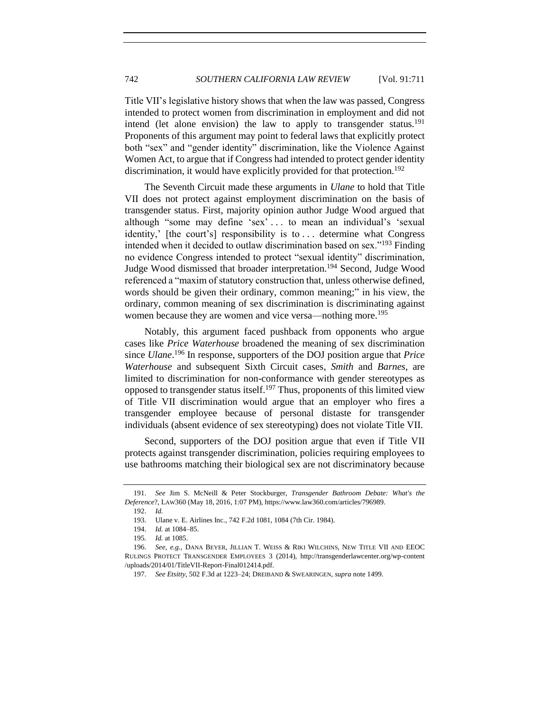<span id="page-31-0"></span>Title VII's legislative history shows that when the law was passed, Congress intended to protect women from discrimination in employment and did not intend (let alone envision) the law to apply to transgender status.<sup>191</sup> Proponents of this argument may point to federal laws that explicitly protect both "sex" and "gender identity" discrimination, like the Violence Against Women Act, to argue that if Congress had intended to protect gender identity discrimination, it would have explicitly provided for that protection.<sup>192</sup>

The Seventh Circuit made these arguments in *Ulane* to hold that Title VII does not protect against employment discrimination on the basis of transgender status. First, majority opinion author Judge Wood argued that although "some may define 'sex' . . . to mean an individual's 'sexual identity,' [the court's] responsibility is to . . . determine what Congress intended when it decided to outlaw discrimination based on sex."<sup>193</sup> Finding no evidence Congress intended to protect "sexual identity" discrimination, Judge Wood dismissed that broader interpretation.<sup>194</sup> Second, Judge Wood referenced a "maxim of statutory construction that, unless otherwise defined, words should be given their ordinary, common meaning;" in his view, the ordinary, common meaning of sex discrimination is discriminating against women because they are women and vice versa—nothing more.<sup>195</sup>

Notably, this argument faced pushback from opponents who argue cases like *Price Waterhouse* broadened the meaning of sex discrimination since *Ulane*. <sup>196</sup> In response, supporters of the DOJ position argue that *Price Waterhouse* and subsequent Sixth Circuit cases, *Smith* and *Barnes*, are limited to discrimination for non-conformance with gender stereotypes as opposed to transgender status itself.<sup>197</sup> Thus, proponents of this limited view of Title VII discrimination would argue that an employer who fires a transgender employee because of personal distaste for transgender individuals (absent evidence of sex stereotyping) does not violate Title VII.

Second, supporters of the DOJ position argue that even if Title VII protects against transgender discrimination, policies requiring employees to use bathrooms matching their biological sex are not discriminatory because

<sup>191.</sup> *See* Jim S. McNeill & Peter Stockburger, *Transgender Bathroom Debate: What's the Deference*?, LAW360 (May 18, 2016, 1:07 PM), https://www.law360.com/articles/796989.

<sup>192.</sup> *Id.*

<sup>193.</sup> Ulane v. E. Airlines Inc., 742 F.2d 1081, 1084 (7th Cir. 1984).

<sup>194.</sup> *Id.* at 1084–85.

<sup>195</sup>*. Id.* at 1085.

<sup>196.</sup> *See, e.g.*, DANA BEYER, JILLIAN T. WEISS & RIKI WILCHINS, NEW TITLE VII AND EEOC RULINGS PROTECT TRANSGENDER EMPLOYEES 3 (2014), http://transgenderlawcenter.org/wp-content /uploads/2014/01/TitleVII-Report-Final012414.pdf.

<sup>197.</sup> *See Etsitty*, 502 F.3d at 1223–24; DREIBAND & SWEARINGEN, *supra* not[e 1499](#page-24-2).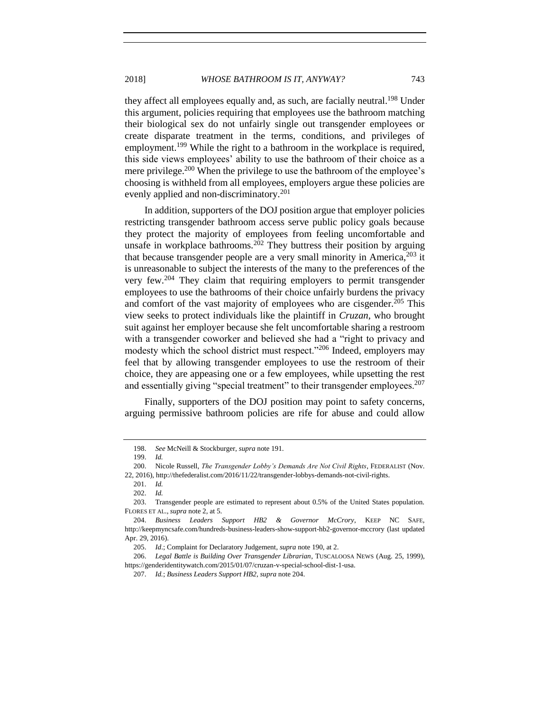they affect all employees equally and, as such, are facially neutral.<sup>198</sup> Under this argument, policies requiring that employees use the bathroom matching their biological sex do not unfairly single out transgender employees or create disparate treatment in the terms, conditions, and privileges of employment.<sup>199</sup> While the right to a bathroom in the workplace is required, this side views employees' ability to use the bathroom of their choice as a mere privilege.<sup>200</sup> When the privilege to use the bathroom of the employee's choosing is withheld from all employees, employers argue these policies are evenly applied and non-discriminatory.<sup>201</sup>

<span id="page-32-0"></span>In addition, supporters of the DOJ position argue that employer policies restricting transgender bathroom access serve public policy goals because they protect the majority of employees from feeling uncomfortable and unsafe in workplace bathrooms.<sup>202</sup> They buttress their position by arguing that because transgender people are a very small minority in America,  $203$  it is unreasonable to subject the interests of the many to the preferences of the very few.<sup>204</sup> They claim that requiring employers to permit transgender employees to use the bathrooms of their choice unfairly burdens the privacy and comfort of the vast majority of employees who are cisgender.<sup>205</sup> This view seeks to protect individuals like the plaintiff in *Cruzan*, who brought suit against her employer because she felt uncomfortable sharing a restroom with a transgender coworker and believed she had a "right to privacy and modesty which the school district must respect."<sup>206</sup> Indeed, employers may feel that by allowing transgender employees to use the restroom of their choice, they are appeasing one or a few employees, while upsetting the rest and essentially giving "special treatment" to their transgender employees.<sup>207</sup>

Finally, supporters of the DOJ position may point to safety concerns, arguing permissive bathroom policies are rife for abuse and could allow

<sup>198.</sup> *See* McNeill & Stockburger, *supra* not[e 191.](#page-31-0)

<sup>199.</sup> *Id.*

<sup>200.</sup> Nicole Russell, *The Transgender Lobby's Demands Are Not Civil Rights*, FEDERALIST (Nov.

<sup>22, 2016),</sup> http://thefederalist.com/2016/11/22/transgender-lobbys-demands-not-civil-rights.

<sup>201.</sup> *Id.*

<sup>202.</sup> *Id.*

<sup>203.</sup> Transgender people are estimated to represent about 0.5% of the United States population. FLORES ET AL., *supra* not[e 2,](#page-1-1) at 5.

<sup>204.</sup> *Business Leaders Support HB2 & Governor McCrory*, KEEP NC SAFE, [http://keepmyncsafe.com/hundreds-business-leaders-show-support-hb2-governor-mccrory](http://keepmyncsafe.com/hundreds-business-leaders-show-support-hb2-governor-mccrory/) (last updated Apr. 29, 2016).

<sup>205.</sup> *Id*.; Complaint for Declaratory Judgement, *supra* not[e 190,](#page-30-2) at 2.

<sup>206.</sup> *Legal Battle is Building Over Transgender Librarian*, TUSCALOOSA NEWS (Aug. 25, 1999), https://genderidentitywatch.com/2015/01/07/cruzan-v-special-school-dist-1-usa.

<sup>207.</sup> *Id.*; *Business Leaders Support HB2*, *supra* not[e 204.](#page-32-0)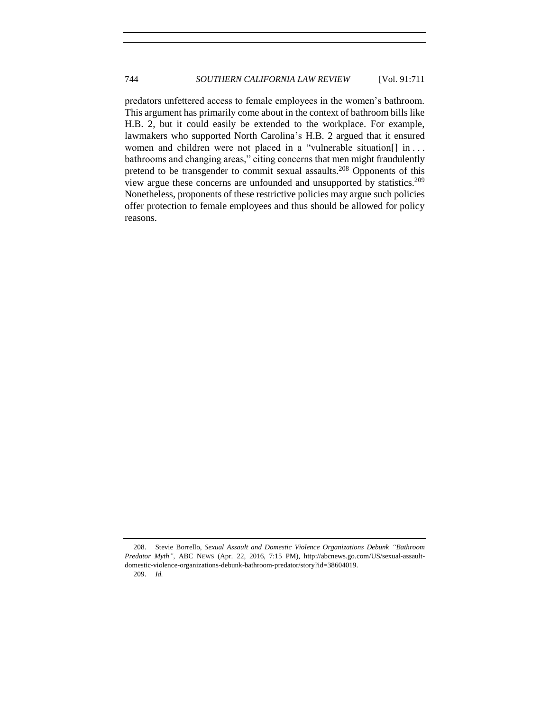<span id="page-33-0"></span>predators unfettered access to female employees in the women's bathroom. This argument has primarily come about in the context of bathroom bills like H.B. 2, but it could easily be extended to the workplace. For example, lawmakers who supported North Carolina's H.B. 2 argued that it ensured women and children were not placed in a "vulnerable situation[] in ... bathrooms and changing areas," citing concerns that men might fraudulently pretend to be transgender to commit sexual assaults.<sup>208</sup> Opponents of this view argue these concerns are unfounded and unsupported by statistics.<sup>209</sup> Nonetheless, proponents of these restrictive policies may argue such policies offer protection to female employees and thus should be allowed for policy reasons.

<sup>208.</sup> Stevie Borrello, *Sexual Assault and Domestic Violence Organizations Debunk "Bathroom Predator Myth"*, ABC NEWS (Apr. 22, 2016, 7:15 PM), http://abcnews.go.com/US/sexual-assaultdomestic-violence-organizations-debunk-bathroom-predator/story?id=38604019.

<sup>209.</sup> *Id.*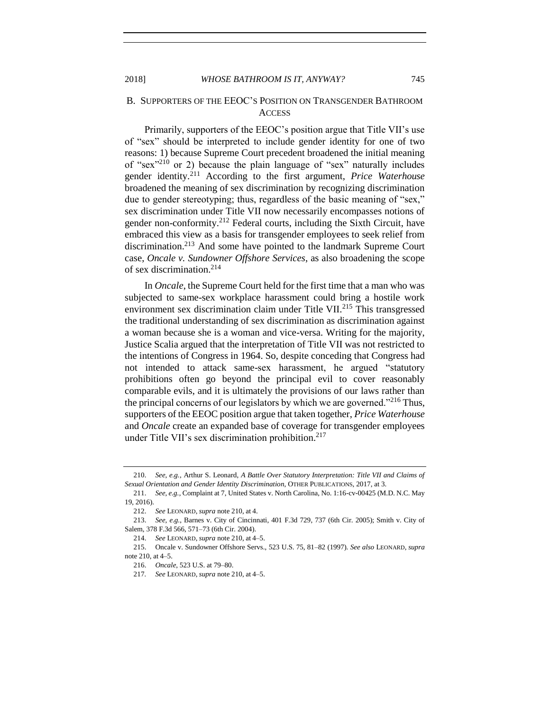## B. SUPPORTERS OF THE EEOC'S POSITION ON TRANSGENDER BATHROOM **ACCESS**

<span id="page-34-1"></span><span id="page-34-0"></span>Primarily, supporters of the EEOC's position argue that Title VII's use of "sex" should be interpreted to include gender identity for one of two reasons: 1) because Supreme Court precedent broadened the initial meaning of "sex"<sup>210</sup> or 2) because the plain language of "sex" naturally includes gender identity.<sup>211</sup> According to the first argument, *Price Waterhouse* broadened the meaning of sex discrimination by recognizing discrimination due to gender stereotyping; thus, regardless of the basic meaning of "sex," sex discrimination under Title VII now necessarily encompasses notions of gender non-conformity.<sup>212</sup> Federal courts, including the Sixth Circuit, have embraced this view as a basis for transgender employees to seek relief from discrimination.<sup>213</sup> And some have pointed to the landmark Supreme Court case, *Oncale v. Sundowner Offshore Services*, as also broadening the scope of sex discrimination.<sup>214</sup>

In *Oncale*, the Supreme Court held for the first time that a man who was subjected to same-sex workplace harassment could bring a hostile work environment sex discrimination claim under Title VII.<sup>215</sup> This transgressed the traditional understanding of sex discrimination as discrimination against a woman because she is a woman and vice-versa. Writing for the majority, Justice Scalia argued that the interpretation of Title VII was not restricted to the intentions of Congress in 1964. So, despite conceding that Congress had not intended to attack same-sex harassment, he argued "statutory prohibitions often go beyond the principal evil to cover reasonably comparable evils, and it is ultimately the provisions of our laws rather than the principal concerns of our legislators by which we are governed."<sup>216</sup> Thus, supporters of the EEOC position argue that taken together, *Price Waterhouse*  and *Oncale* create an expanded base of coverage for transgender employees under Title VII's sex discrimination prohibition.<sup>217</sup>

<sup>210.</sup> *See, e.g.,* Arthur S. Leonard, *A Battle Over Statutory Interpretation: Title VII and Claims of Sexual Orientation and Gender Identity Discrimination*, OTHER PUBLICATIONS, 2017, at 3.

<sup>211.</sup> *See, e.g.*, Complaint at 7, United States v. North Carolina, No. 1:16-cv-00425 (M.D. N.C. May 19, 2016).

<sup>212.</sup> *See* LEONARD, *supra* not[e 210,](#page-34-0) at 4.

<sup>213.</sup> *See, e.g.*, Barnes v. City of Cincinnati, 401 F.3d 729, 737 (6th Cir. 2005); Smith v. City of Salem, 378 F.3d 566, 571–73 (6th Cir. 2004).

<sup>214.</sup> *See* LEONARD, *supra* not[e 210,](#page-34-0) at 4–5.

<sup>215.</sup> Oncale v. Sundowner Offshore Servs., 523 U.S. 75, 81–82 (1997). *See also* LEONARD, *supra*  note [210,](#page-34-0) at 4–5.

<sup>216.</sup> *Oncale*, 523 U.S. at 79–80.

<sup>217</sup>*. See* LEONARD, *supra* not[e 210,](#page-34-0) at 4–5.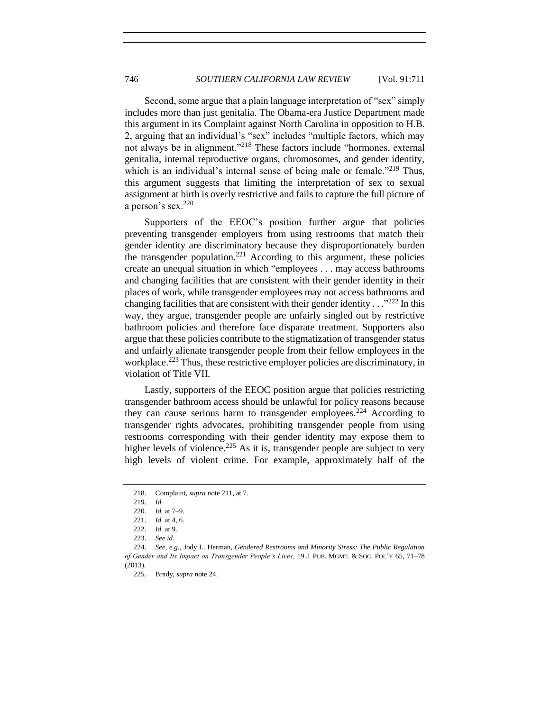Second, some argue that a plain language interpretation of "sex" simply includes more than just genitalia. The Obama-era Justice Department made this argument in its Complaint against North Carolina in opposition to H.B. 2, arguing that an individual's "sex" includes "multiple factors, which may not always be in alignment."<sup>218</sup> These factors include "hormones, external genitalia, internal reproductive organs, chromosomes, and gender identity, which is an individual's internal sense of being male or female."<sup>219</sup> Thus, this argument suggests that limiting the interpretation of sex to sexual assignment at birth is overly restrictive and fails to capture the full picture of a person's sex.<sup>220</sup>

Supporters of the EEOC's position further argue that policies preventing transgender employers from using restrooms that match their gender identity are discriminatory because they disproportionately burden the transgender population.<sup>221</sup> According to this argument, these policies create an unequal situation in which "employees . . . may access bathrooms and changing facilities that are consistent with their gender identity in their places of work, while transgender employees may not access bathrooms and changing facilities that are consistent with their gender identity . . ." <sup>222</sup> In this way, they argue, transgender people are unfairly singled out by restrictive bathroom policies and therefore face disparate treatment. Supporters also argue that these policies contribute to the stigmatization of transgender status and unfairly alienate transgender people from their fellow employees in the workplace.<sup>223</sup> Thus, these restrictive employer policies are discriminatory, in violation of Title VII.

<span id="page-35-0"></span>Lastly, supporters of the EEOC position argue that policies restricting transgender bathroom access should be unlawful for policy reasons because they can cause serious harm to transgender employees.<sup>224</sup> According to transgender rights advocates, prohibiting transgender people from using restrooms corresponding with their gender identity may expose them to higher levels of violence.<sup>225</sup> As it is, transgender people are subject to very high levels of violent crime. For example, approximately half of the

<sup>218.</sup> Complaint, *supra* note [211,](#page-34-1) at 7.

<sup>219.</sup> *Id.*

<sup>220.</sup> *Id.* at 7–9.

<sup>221.</sup> *Id.* at 4, 6.

<sup>222.</sup> *Id.* at 9.

<sup>223.</sup> *See id.*

<sup>224.</sup> *See, e.g.*, Jody L. Herman, *Gendered Restrooms and Minority Stress: The Public Regulation of Gender and Its Impact on Transgender People's Lives*, 19 J. PUB. MGMT. & SOC. POL'Y 65, 71–78 (2013).

<sup>225.</sup> Brady, *supra* not[e 24.](#page-5-0)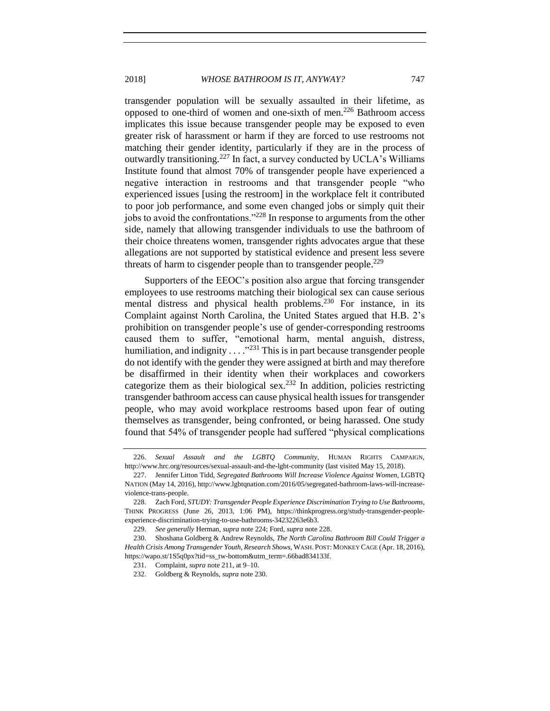transgender population will be sexually assaulted in their lifetime, as opposed to one-third of women and one-sixth of men.<sup>226</sup> Bathroom access implicates this issue because transgender people may be exposed to even greater risk of harassment or harm if they are forced to use restrooms not matching their gender identity, particularly if they are in the process of outwardly transitioning.<sup>227</sup> In fact, a survey conducted by UCLA's Williams Institute found that almost 70% of transgender people have experienced a negative interaction in restrooms and that transgender people "who experienced issues [using the restroom] in the workplace felt it contributed to poor job performance, and some even changed jobs or simply quit their jobs to avoid the confrontations."<sup>228</sup> In response to arguments from the other side, namely that allowing transgender individuals to use the bathroom of their choice threatens women, transgender rights advocates argue that these allegations are not supported by statistical evidence and present less severe threats of harm to cisgender people than to transgender people.<sup>229</sup>

<span id="page-36-2"></span><span id="page-36-1"></span><span id="page-36-0"></span>Supporters of the EEOC's position also argue that forcing transgender employees to use restrooms matching their biological sex can cause serious mental distress and physical health problems.<sup>230</sup> For instance, in its Complaint against North Carolina, the United States argued that H.B. 2's prohibition on transgender people's use of gender-corresponding restrooms caused them to suffer, "emotional harm, mental anguish, distress, humiliation, and indignity  $\ldots$   $\cdot$ <sup>231</sup>. This is in part because transgender people do not identify with the gender they were assigned at birth and may therefore be disaffirmed in their identity when their workplaces and coworkers categorize them as their biological sex.<sup>232</sup> In addition, policies restricting transgender bathroom access can cause physical health issues for transgender people, who may avoid workplace restrooms based upon fear of outing themselves as transgender, being confronted, or being harassed. One study found that 54% of transgender people had suffered "physical complications

<sup>226.</sup> *Sexual Assault and the LGBTQ Community*, HUMAN RIGHTS CAMPAIGN, http://www.hrc.org/resources/sexual-assault-and-the-lgbt-community (last visited May 15, 2018).

<sup>227.</sup> Jennifer Litton Tidd, *Segregated Bathrooms Will Increase Violence Against Women*, LGBTQ NATION (May 14, 2016), http://www.lgbtqnation.com/2016/05/segregated-bathroom-laws-will-increaseviolence-trans-people.

<sup>228.</sup> Zach Ford, *STUDY: Transgender People Experience Discrimination Trying to Use Bathrooms*, THINK PROGRESS (June 26, 2013, 1:06 PM), https://thinkprogress.org/study-transgender-peopleexperience-discrimination-trying-to-use-bathrooms-34232263e6b3.

<sup>229.</sup> *See generally* Herman, *supra* note [224;](#page-35-0) Ford, *supra* note [228.](#page-36-0) 

<sup>230.</sup> Shoshana Goldberg & Andrew Reynolds, *The North Carolina Bathroom Bill Could Trigger a Health Crisis Among Transgender Youth, Research Shows*, WASH. POST: MONKEY CAGE (Apr. 18, 2016), https://wapo.st/1S5q0px?tid=ss\_tw-bottom&utm\_term=.66bad834133f.

<sup>231.</sup> Complaint, *supra* note [211,](#page-34-1) at 9–10.

<sup>232.</sup> Goldberg & Reynolds, *supra* not[e 230.](#page-36-1)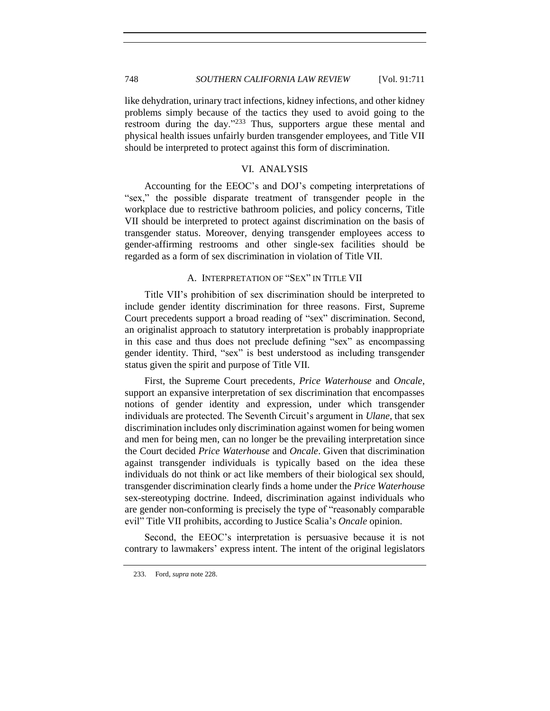like dehydration, urinary tract infections, kidney infections, and other kidney problems simply because of the tactics they used to avoid going to the restroom during the day."<sup>233</sup> Thus, supporters argue these mental and physical health issues unfairly burden transgender employees, and Title VII should be interpreted to protect against this form of discrimination.

## VI. ANALYSIS

<span id="page-37-0"></span>Accounting for the EEOC's and DOJ's competing interpretations of "sex," the possible disparate treatment of transgender people in the workplace due to restrictive bathroom policies, and policy concerns, Title VII should be interpreted to protect against discrimination on the basis of transgender status. Moreover, denying transgender employees access to gender-affirming restrooms and other single-sex facilities should be regarded as a form of sex discrimination in violation of Title VII.

#### A. INTERPRETATION OF "SEX" IN TITLE VII

<span id="page-37-1"></span>Title VII's prohibition of sex discrimination should be interpreted to include gender identity discrimination for three reasons. First, Supreme Court precedents support a broad reading of "sex" discrimination. Second, an originalist approach to statutory interpretation is probably inappropriate in this case and thus does not preclude defining "sex" as encompassing gender identity. Third, "sex" is best understood as including transgender status given the spirit and purpose of Title VII.

First, the Supreme Court precedents, *Price Waterhouse* and *Oncale*, support an expansive interpretation of sex discrimination that encompasses notions of gender identity and expression, under which transgender individuals are protected. The Seventh Circuit's argument in *Ulane*, that sex discrimination includes only discrimination against women for being women and men for being men, can no longer be the prevailing interpretation since the Court decided *Price Waterhouse* and *Oncale*. Given that discrimination against transgender individuals is typically based on the idea these individuals do not think or act like members of their biological sex should, transgender discrimination clearly finds a home under the *Price Waterhouse* sex-stereotyping doctrine. Indeed, discrimination against individuals who are gender non-conforming is precisely the type of "reasonably comparable evil" Title VII prohibits, according to Justice Scalia's *Oncale* opinion.

Second, the EEOC's interpretation is persuasive because it is not contrary to lawmakers' express intent. The intent of the original legislators

<sup>233.</sup> Ford, *supra* not[e 228.](#page-36-0)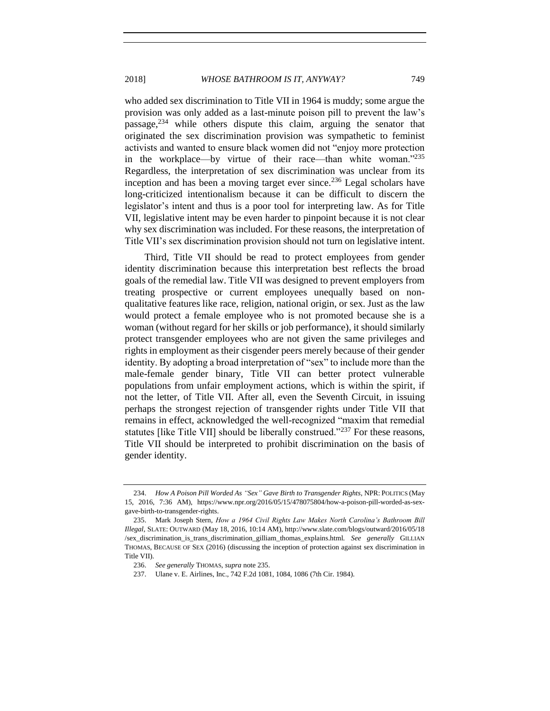who added sex discrimination to Title VII in 1964 is muddy; some argue the provision was only added as a last-minute poison pill to prevent the law's passage,<sup>234</sup> while others dispute this claim, arguing the senator that originated the sex discrimination provision was sympathetic to feminist activists and wanted to ensure black women did not "enjoy more protection in the workplace—by virtue of their race—than white woman."<sup>235</sup> Regardless, the interpretation of sex discrimination was unclear from its inception and has been a moving target ever since.<sup>236</sup> Legal scholars have long-criticized intentionalism because it can be difficult to discern the legislator's intent and thus is a poor tool for interpreting law. As for Title VII, legislative intent may be even harder to pinpoint because it is not clear why sex discrimination was included. For these reasons, the interpretation of Title VII's sex discrimination provision should not turn on legislative intent.

Third, Title VII should be read to protect employees from gender identity discrimination because this interpretation best reflects the broad goals of the remedial law. Title VII was designed to prevent employers from treating prospective or current employees unequally based on nonqualitative features like race, religion, national origin, or sex. Just as the law would protect a female employee who is not promoted because she is a woman (without regard for her skills or job performance), it should similarly protect transgender employees who are not given the same privileges and rights in employment as their cisgender peers merely because of their gender identity. By adopting a broad interpretation of "sex" to include more than the male-female gender binary, Title VII can better protect vulnerable populations from unfair employment actions, which is within the spirit, if not the letter, of Title VII. After all, even the Seventh Circuit, in issuing perhaps the strongest rejection of transgender rights under Title VII that remains in effect, acknowledged the well-recognized "maxim that remedial statutes [like Title VII] should be liberally construed."<sup>237</sup> For these reasons, Title VII should be interpreted to prohibit discrimination on the basis of gender identity.

<span id="page-38-0"></span>

<sup>234.</sup> *How A Poison Pill Worded As "Sex" Gave Birth to Transgender Rights*, NPR: POLITICS (May 15, 2016, 7:36 AM), https://www.npr.org/2016/05/15/478075804/how-a-poison-pill-worded-as-sexgave-birth-to-transgender-rights.

<sup>235.</sup> Mark Joseph Stern, *How a 1964 Civil Rights Law Makes North Carolina's Bathroom Bill Illegal*, SLATE: OUTWARD (May 18, 2016, 10:14 AM), http://www.slate.com/blogs/outward/2016/05/18 /sex\_discrimination\_is\_trans\_discrimination\_gilliam\_thomas\_explains.html. *See generally* GILLIAN THOMAS, BECAUSE OF SEX (2016) (discussing the inception of protection against sex discrimination in Title VII).

<sup>236.</sup> *See generally* THOMAS, *supra* note [235.](#page-38-0)

<sup>237.</sup> Ulane v. E. Airlines, Inc., 742 F.2d 1081, 1084, 1086 (7th Cir. 1984).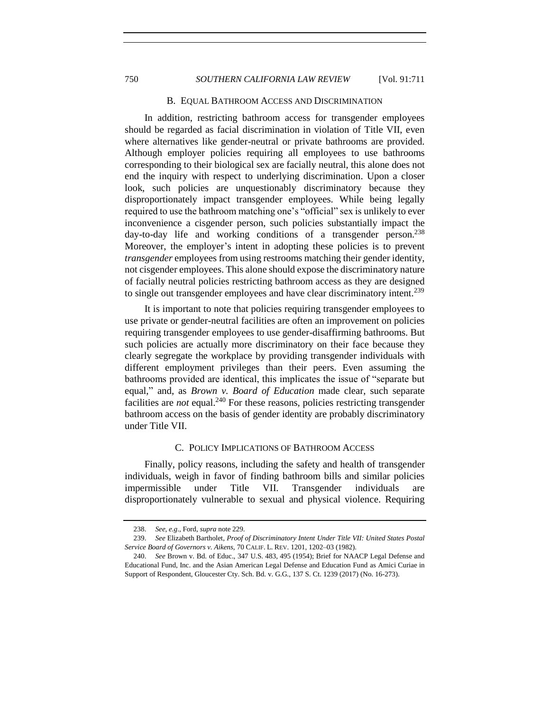#### B. EQUAL BATHROOM ACCESS AND DISCRIMINATION

<span id="page-39-0"></span>In addition, restricting bathroom access for transgender employees should be regarded as facial discrimination in violation of Title VII, even where alternatives like gender-neutral or private bathrooms are provided. Although employer policies requiring all employees to use bathrooms corresponding to their biological sex are facially neutral, this alone does not end the inquiry with respect to underlying discrimination. Upon a closer look, such policies are unquestionably discriminatory because they disproportionately impact transgender employees. While being legally required to use the bathroom matching one's "official" sex is unlikely to ever inconvenience a cisgender person, such policies substantially impact the day-to-day life and working conditions of a transgender person.<sup>238</sup> Moreover, the employer's intent in adopting these policies is to prevent *transgender* employees from using restrooms matching their gender identity, not cisgender employees. This alone should expose the discriminatory nature of facially neutral policies restricting bathroom access as they are designed to single out transgender employees and have clear discriminatory intent.<sup>239</sup>

It is important to note that policies requiring transgender employees to use private or gender-neutral facilities are often an improvement on policies requiring transgender employees to use gender-disaffirming bathrooms. But such policies are actually more discriminatory on their face because they clearly segregate the workplace by providing transgender individuals with different employment privileges than their peers. Even assuming the bathrooms provided are identical, this implicates the issue of "separate but equal," and, as *Brown v. Board of Education* made clear, such separate facilities are *not* equal.<sup>240</sup> For these reasons, policies restricting transgender bathroom access on the basis of gender identity are probably discriminatory under Title VII.

#### C. POLICY IMPLICATIONS OF BATHROOM ACCESS

<span id="page-39-1"></span>Finally, policy reasons, including the safety and health of transgender individuals, weigh in favor of finding bathroom bills and similar policies impermissible under Title VII. Transgender individuals disproportionately vulnerable to sexual and physical violence. Requiring

<sup>238.</sup> *See*, *e.g*., Ford, *supra* note [229.](#page-36-2) 

<sup>239.</sup> *See* Elizabeth Bartholet*, Proof of Discriminatory Intent Under Title VII: United States Postal Service Board of Governors v. Aikens,* 70 CALIF. L. REV. 1201, 1202–03 (1982).

<sup>240.</sup> *See* Brown v. Bd. of Educ., 347 U.S. 483, 495 (1954); Brief for NAACP Legal Defense and Educational Fund, Inc. and the Asian American Legal Defense and Education Fund as Amici Curiae in Support of Respondent, Gloucester Cty. Sch. Bd. v. G.G., 137 S. Ct. 1239 (2017) (No. 16-273).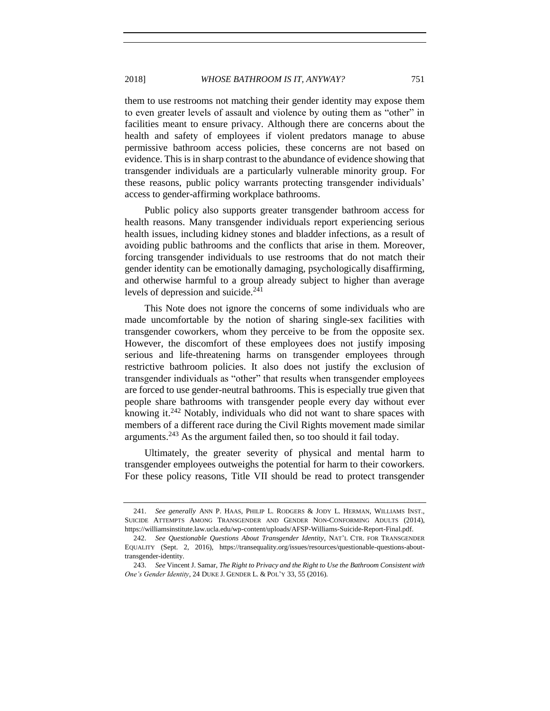them to use restrooms not matching their gender identity may expose them to even greater levels of assault and violence by outing them as "other" in facilities meant to ensure privacy. Although there are concerns about the health and safety of employees if violent predators manage to abuse permissive bathroom access policies, these concerns are not based on evidence. This is in sharp contrast to the abundance of evidence showing that transgender individuals are a particularly vulnerable minority group. For these reasons, public policy warrants protecting transgender individuals' access to gender-affirming workplace bathrooms.

Public policy also supports greater transgender bathroom access for health reasons. Many transgender individuals report experiencing serious health issues, including kidney stones and bladder infections, as a result of avoiding public bathrooms and the conflicts that arise in them. Moreover, forcing transgender individuals to use restrooms that do not match their gender identity can be emotionally damaging, psychologically disaffirming, and otherwise harmful to a group already subject to higher than average levels of depression and suicide. $241$ 

This Note does not ignore the concerns of some individuals who are made uncomfortable by the notion of sharing single-sex facilities with transgender coworkers, whom they perceive to be from the opposite sex. However, the discomfort of these employees does not justify imposing serious and life-threatening harms on transgender employees through restrictive bathroom policies. It also does not justify the exclusion of transgender individuals as "other" that results when transgender employees are forced to use gender-neutral bathrooms. This is especially true given that people share bathrooms with transgender people every day without ever knowing it.<sup>242</sup> Notably, individuals who did not want to share spaces with members of a different race during the Civil Rights movement made similar arguments.<sup>243</sup> As the argument failed then, so too should it fail today.

Ultimately, the greater severity of physical and mental harm to transgender employees outweighs the potential for harm to their coworkers. For these policy reasons, Title VII should be read to protect transgender

<sup>241.</sup> *See generally* ANN P. HAAS, PHILIP L. RODGERS & JODY L. HERMAN, WILLIAMS INST., SUICIDE ATTEMPTS AMONG TRANSGENDER AND GENDER NON-CONFORMING ADULTS (2014), https://williamsinstitute.law.ucla.edu/wp-content/uploads/AFSP-Williams-Suicide-Report-Final.pdf.

<sup>242.</sup> *See Questionable Questions About Transgender Identity*, NAT'L CTR. FOR TRANSGENDER EQUALITY (Sept. 2, 2016), https://transequality.org/issues/resources/questionable-questions-abouttransgender-identity.

<sup>243.</sup> *See* Vincent J. Samar, *The Right to Privacy and the Right to Use the Bathroom Consistent with One's Gender Identity*, 24 DUKE J. GENDER L. & POL'Y 33, 55 (2016).